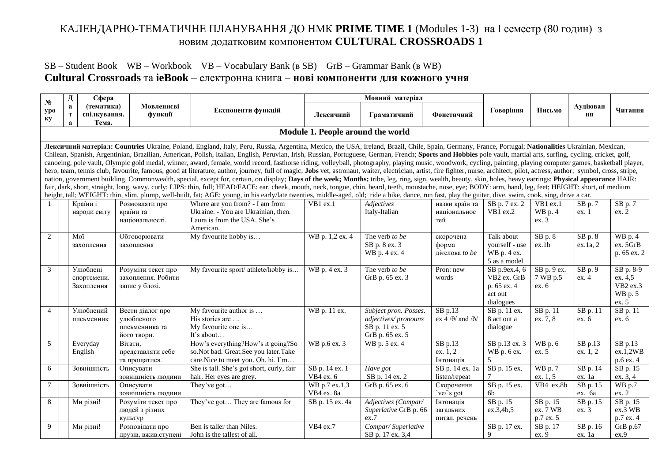## КАЛЕНДАРНО-ТЕМАТИЧНЕ ПЛАНУВАННЯ ДО НМК **PRIME TIME 1** (Modules 1-3) на І семестр (80 годин) з новим додатковим компонентом **CULTURAL CROSSROADS 1**

## SB – Student Book WB – Workbook VB – Vocabulary Bank (в SB) GrB – Grammar Bank (в WB) **Cultural Crossroads** та **ieBook** – електронна книга – **нові компоненти для кожного учня**

| N <sub>2</sub> | Д                                               | Сфера                                 |                                                                 |                                                                                                                                                                                                                                                                                                                                                                                                                                                                                                                                                                                                                                                                                                                                                                                                                                                                                                                                                                                                                                                                                                                                                                                                                                                                                                                                                                                                                                                                                                                             |                                   | Мовний матеріал                                                                   |                                                 |                                                                     |                                   |                      |                                                      |
|----------------|-------------------------------------------------|---------------------------------------|-----------------------------------------------------------------|-----------------------------------------------------------------------------------------------------------------------------------------------------------------------------------------------------------------------------------------------------------------------------------------------------------------------------------------------------------------------------------------------------------------------------------------------------------------------------------------------------------------------------------------------------------------------------------------------------------------------------------------------------------------------------------------------------------------------------------------------------------------------------------------------------------------------------------------------------------------------------------------------------------------------------------------------------------------------------------------------------------------------------------------------------------------------------------------------------------------------------------------------------------------------------------------------------------------------------------------------------------------------------------------------------------------------------------------------------------------------------------------------------------------------------------------------------------------------------------------------------------------------------|-----------------------------------|-----------------------------------------------------------------------------------|-------------------------------------------------|---------------------------------------------------------------------|-----------------------------------|----------------------|------------------------------------------------------|
| ypo<br>ку      | $\mathbf a$<br>T<br>$\mathbf a$                 | (тематика)<br>спілкування.<br>Тема.   | Мовленнєві<br>функції                                           | Експоненти функцій                                                                                                                                                                                                                                                                                                                                                                                                                                                                                                                                                                                                                                                                                                                                                                                                                                                                                                                                                                                                                                                                                                                                                                                                                                                                                                                                                                                                                                                                                                          | Лексичний                         | Граматичний                                                                       | Фонетичний                                      | Говоріння                                                           | Письмо                            | Аудіюван<br>ня       | Читання                                              |
|                |                                                 |                                       |                                                                 |                                                                                                                                                                                                                                                                                                                                                                                                                                                                                                                                                                                                                                                                                                                                                                                                                                                                                                                                                                                                                                                                                                                                                                                                                                                                                                                                                                                                                                                                                                                             | Module 1. People around the world |                                                                                   |                                                 |                                                                     |                                   |                      |                                                      |
|                |                                                 |                                       |                                                                 | Лексичний матеріал: Countries Ukraine, Poland, England, Italy, Peru, Russia, Argentina, Mexico, the USA, Ireland, Brazil, Chile, Spain, Germany, France, Portugal; Nationalities Ukrainian, Mexican,<br>Chilean, Spanish, Argentinian, Brazilian, American, Polish, Italian, English, Peruvian, Irish, Russian, Portuguese, German, French; Sports and Hobbies pole vault, martial arts, surfing, cycling, cricket, golf,<br>canoeing, pole vault, Olympic gold medal, winner, award, female, world record, fasthorse riding, volleyball, photography, playing music, woodwork, cycling, painting, playing computer games, basketball player,<br>hero, team, tennis club, favourite, famous, good at literature, author, journey, full of magic; Jobs vet, astronaut, waiter, electrician, artist, fire fighter, nurse, architect, pilot, actress, author; symbol, cross, strip<br>nation, government building, Commonwealth, special, except for, certain, on display; Days of the week; Months; tribe, leg, ring, sign, wealth, beauty, skin, holes, heavy earrings; Physical appearance HAIR:<br>fair, dark, short, straight, long, wavy, curly; LIPS: thin, full; HEAD/FACE: ear, cheek, mouth, neck, tongue, chin, beard, teeth, moustache, nose, eye; BODY: arm, hand, leg, feet; HEIGHT: short, of medium<br>height, tall; WEIGHT: thin, slim, plump, well-built, fat; AGE: young, in his early/late twenties, middle-aged, old; ride a bike, dance, run fast, play the guitar, dive, swim, cook, sing, drive a car. |                                   |                                                                                   |                                                 |                                                                     |                                   |                      |                                                      |
|                |                                                 | Країни і<br>народи світу              | Розмовляти про<br>країни та<br>національності.                  | Where are you from? - I am from<br>Ukraine. - You are Ukrainian, then.<br>Laura is from the USA. She's<br>American.                                                                                                                                                                                                                                                                                                                                                                                                                                                                                                                                                                                                                                                                                                                                                                                                                                                                                                                                                                                                                                                                                                                                                                                                                                                                                                                                                                                                         | VB1 ex.1                          | Adjectives<br>Italy-Italian                                                       | назви країн та<br>національнос<br>тей           | SB p. 7 ex. 2<br>VB1 ex.2                                           | VB1 ex.1<br>WB p. 4<br>ex.3       | $SB$ p. $7$<br>ex. 1 | SB p. 7<br>ex. 2                                     |
| 2              | Moï<br>Обговорювати<br>захоплення<br>захоплення |                                       |                                                                 | My favourite hobby is                                                                                                                                                                                                                                                                                                                                                                                                                                                                                                                                                                                                                                                                                                                                                                                                                                                                                                                                                                                                                                                                                                                                                                                                                                                                                                                                                                                                                                                                                                       | WB p. 1,2 ex. 4                   | The verb to be<br>SB p. 8 ex. 3<br>WB p. 4 ex. 4                                  | скорочена<br>форма<br>дієслова <i>to be</i>     | Talk about<br>yourself - use<br>WB p. 4 ex.<br>5 as a model         | $SB$ p. $8$<br>ex.1b              | SB p. 8<br>ex.1a, 2  | WB p. 4<br>ex. 5GrB<br>p. 65 ex. 2                   |
| 3              |                                                 | Улюблені<br>спортсмени.<br>Захоплення | Розуміти текст про<br>захоплення. Робити<br>запис у блозі.      | My favourite sport/ athlete/hobby is                                                                                                                                                                                                                                                                                                                                                                                                                                                                                                                                                                                                                                                                                                                                                                                                                                                                                                                                                                                                                                                                                                                                                                                                                                                                                                                                                                                                                                                                                        | WB p. 4 ex. 3                     | The verb to be<br>GrB p. 65 ex. 3                                                 | Pron: new<br>words                              | SB p.9ex.4, 6<br>VB2 ex. GrB<br>p. 65 ex. 4<br>act out<br>dialogues | SB p. 9 ex.<br>7 WB p.5<br>ex.6   | $SB$ p. 9<br>ex.4    | SB p. 8-9<br>ex. 4,5<br>VB2 ex.3<br>WB p. 5<br>ex. 5 |
| $\overline{4}$ |                                                 | Улюблений<br>письменник               | Вести діалог про<br>улюбленого<br>письменника та<br>його твори. | My favourite author is<br>His stories are<br>My favourite one is<br>It's about                                                                                                                                                                                                                                                                                                                                                                                                                                                                                                                                                                                                                                                                                                                                                                                                                                                                                                                                                                                                                                                                                                                                                                                                                                                                                                                                                                                                                                              | WB p. 11 ex.                      | Subject pron. Posses.<br>adjectives/pronouns<br>SB p. 11 ex. 5<br>GrB p. 65 ex. 5 | $SB$ p.13<br>ex 4 / $\theta$ / and / $\delta$ / | SB p. 11 ex.<br>8 act out a<br>dialogue                             | SB p. 11<br>ex. 7, 8              | SB p. 11<br>ex. 6    | SB p. 11<br>ex. 6                                    |
| 5              |                                                 | Everyday<br>English                   | Вітати,<br>представляти себе<br>та прощатися.                   | How's everything?How's it going?So<br>so.Not bad. Great.See you later.Take<br>care. Nice to meet you. Oh, hi. I'm                                                                                                                                                                                                                                                                                                                                                                                                                                                                                                                                                                                                                                                                                                                                                                                                                                                                                                                                                                                                                                                                                                                                                                                                                                                                                                                                                                                                           | WB p.6 ex. 3                      | WB p. 5 ex. 4                                                                     | $SB$ p.13<br>ex. 1, 2<br>Інтонація              | SB p.13 ex. 3<br>WB p. 6 ex.<br>5                                   | WB p. 6<br>ex. 5                  | SB p.13<br>ex. 1, 2  | $SB$ p.13<br>ex.1,2WB<br>p.6 ex. 4                   |
| 6              |                                                 | Зовнішність                           | Описувати<br>зовнішність людини                                 | She is tall. She's got short, curly, fair<br>hair. Her eyes are grey.                                                                                                                                                                                                                                                                                                                                                                                                                                                                                                                                                                                                                                                                                                                                                                                                                                                                                                                                                                                                                                                                                                                                                                                                                                                                                                                                                                                                                                                       | SB p. 14 ex. 1<br>VB4 ex. 6       | Have got<br>SB p. 14 ex. 2                                                        | SB p. 14 ex. 1a<br>listen/repeat                | SB p. 15 ex.                                                        | WB p. 7<br>ex. 1, 5               | SB p. 14<br>ex. 1a   | SB p. 15<br>ex. 3, 4                                 |
| $\tau$         |                                                 | Зовнішність                           | Описувати<br>зовнішність людини                                 | They've got                                                                                                                                                                                                                                                                                                                                                                                                                                                                                                                                                                                                                                                                                                                                                                                                                                                                                                                                                                                                                                                                                                                                                                                                                                                                                                                                                                                                                                                                                                                 | WB p.7 ex.1,3<br>VB4 ex. 8a       | GrB p. 65 ex. 6                                                                   | Скорочення<br>'ve/'s got                        | SB p. 15 ex.<br>6b                                                  | VB4 ex.8b                         | SB p. 15<br>ex. 6a   | $\overline{WB}$ p.7<br>ex. 2                         |
| 8              |                                                 | Ми різні!                             | Розуміти текст про<br>людей з різних<br>культур                 | They've got They are famous for                                                                                                                                                                                                                                                                                                                                                                                                                                                                                                                                                                                                                                                                                                                                                                                                                                                                                                                                                                                                                                                                                                                                                                                                                                                                                                                                                                                                                                                                                             | SB p. 15 ex. 4a                   | Adjectives (Compar/<br>Superlative GrB p. 66<br>ex.7                              | Інтонація<br>загальних<br>питал. речень         | SB p. 15<br>ex.3,4b.5                                               | SB p. 15<br>ex. 7 WB<br>p.7 ex. 5 | SB p. 15<br>ex. 3    | SB p. 15<br>ex.3 WB<br>p.7 ex. 4                     |
| 9              |                                                 | Ми різні!                             | Розповідати про<br>друзів, вжив.ступені                         | Ben is taller than Niles.<br>John is the tallest of all.                                                                                                                                                                                                                                                                                                                                                                                                                                                                                                                                                                                                                                                                                                                                                                                                                                                                                                                                                                                                                                                                                                                                                                                                                                                                                                                                                                                                                                                                    | VB4 ex.7                          | Compar/Superlative<br>SB p. 17 ex. 3,4                                            |                                                 | SB p. 17 ex.<br>9                                                   | SB p. 17<br>ex.9                  | SB p. 16<br>ex. 1a   | GrB p.67<br>ex.9                                     |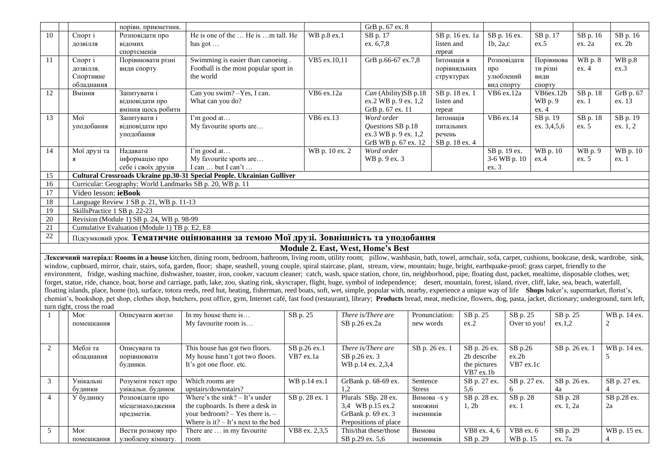|                 |                              | порівн. прикметник.                                       |                                                                                                                                                                                                                           |                | GrB p. 67 ex. 8                   |                |                 |                        |             |                |              |
|-----------------|------------------------------|-----------------------------------------------------------|---------------------------------------------------------------------------------------------------------------------------------------------------------------------------------------------------------------------------|----------------|-----------------------------------|----------------|-----------------|------------------------|-------------|----------------|--------------|
| 10              | Спорт і                      | Розповідати про                                           | He is one of the  He is m tall. He                                                                                                                                                                                        | WB p.8 ex.1    | SB p. 17                          |                | SB p. 16 ex. 1a | SB p. 16 ex.           | SB p. 17    | SB p. 16       | SB p. 16     |
|                 | дозвілля                     | відомих                                                   | has got $\dots$                                                                                                                                                                                                           |                | ex. 6,7,8                         | listen and     |                 | $1b$ , $2a$ , $c$      | ex.5        | ex. 2a         | ex. 2b       |
|                 |                              | спортсменів                                               |                                                                                                                                                                                                                           |                |                                   | repeat         |                 |                        |             |                |              |
| 11              | Спорт і                      | Порівнювати різні                                         | Swimming is easier than canoeing.                                                                                                                                                                                         | VB5 ex.10,11   | GrB p.66-67 ex.7,8                | Інтонація в    |                 | Розповідати            | Порівнюва   | WB p. 8        | WB p.8       |
|                 | дозвілля.                    | види спорту                                               | Football is the most popular sport in                                                                                                                                                                                     |                |                                   |                | порівняльних    | про                    | ти різні    | ex.4           | ex.3         |
|                 | Спортивне                    |                                                           | the world                                                                                                                                                                                                                 |                |                                   | структурах     |                 | улюблений              | види        |                |              |
|                 | обладнання                   |                                                           |                                                                                                                                                                                                                           |                |                                   |                |                 | вид спорту             | спорту      |                |              |
| 12              | Вміння                       | Запитувати і                                              | Can you swim? - Yes, I can.                                                                                                                                                                                               | VB6 ex.12a     | Can (Ability)SB p.18              |                | SB p. 18 ex. 1  | VB6 ex.12a             | VB6ex.12b   | SB p. 18       | GrB p. 67    |
|                 |                              | відповідати про                                           | What can you do?                                                                                                                                                                                                          |                | ex.2 WB p. 9 ex. 1,2              | listen and     |                 |                        | WB p. 9     | ex. 1          | ex. 13       |
|                 |                              | вміння щось робити                                        |                                                                                                                                                                                                                           |                | GrB p. 67 ex. 11                  | repeat         |                 |                        | ex. 4       |                |              |
| 13              | Moï                          | Запитувати і                                              | I'm good at                                                                                                                                                                                                               | VB6 ex.13      | Word order                        | Інтонація      |                 | $\overline{VB6}$ ex.14 | SB p. 19    | SB p. 18       | SB p. 19     |
|                 | уподобання                   | відповідати про                                           | My favourite sports are                                                                                                                                                                                                   |                | Questions SB p.18                 | питальних      |                 |                        | ex. 3,4,5,6 | ex. 5          | ex. 1, 2     |
|                 |                              | уподобання                                                |                                                                                                                                                                                                                           |                | ex.3 WB p. 9 ex. 1,2              | речень         |                 |                        |             |                |              |
|                 |                              |                                                           |                                                                                                                                                                                                                           |                | GrB WB p. 67 ex. 12               |                | SB p. 18 ex. 4  |                        |             |                |              |
| 14              | Мої друзі та                 | Надавати                                                  | I'm good at                                                                                                                                                                                                               | WB p. 10 ex. 2 | Word order                        |                |                 | SB p. 19 ex.           | WB p. 10    | WB p. 9        | WB p. 10     |
|                 | Я                            | інформацію про                                            | My favourite sports are                                                                                                                                                                                                   |                | WB p. 9 ex. 3                     |                |                 | 3-6 WB p. 10           | ex.4        | ex. 5          | ex. 1        |
|                 |                              | себе і своїх друзів                                       | I can  but I can't                                                                                                                                                                                                        |                |                                   |                |                 | ex. 3                  |             |                |              |
| 15              |                              |                                                           | Cultural Crossroads Ukraine pp.30-31 Special People. Ukrainian Gulliver                                                                                                                                                   |                |                                   |                |                 |                        |             |                |              |
| 16              |                              | Curricular: Geography: World Landmarks SB p. 20, WB p. 11 |                                                                                                                                                                                                                           |                |                                   |                |                 |                        |             |                |              |
| 17              | Video lesson: ieBook         |                                                           |                                                                                                                                                                                                                           |                |                                   |                |                 |                        |             |                |              |
| 18              |                              | Language Review 1 SB p. 21, WB p. 11-13                   |                                                                                                                                                                                                                           |                |                                   |                |                 |                        |             |                |              |
| 19              | SkillsPractice 1 SB p. 22-23 |                                                           |                                                                                                                                                                                                                           |                |                                   |                |                 |                        |             |                |              |
| 20              |                              | Revision (Module 1) SB p. 24, WB p. 98-99                 |                                                                                                                                                                                                                           |                |                                   |                |                 |                        |             |                |              |
| $21\,$          |                              | Cumulative Evaluation (Module 1) TB p. E2, E8             |                                                                                                                                                                                                                           |                |                                   |                |                 |                        |             |                |              |
| $\overline{22}$ |                              |                                                           | Підсумковий урок. Тематичне оцінювання за темою Мої друзі. Зовнішність та уподобання                                                                                                                                      |                |                                   |                |                 |                        |             |                |              |
|                 |                              |                                                           |                                                                                                                                                                                                                           |                | Module 2. East, West, Home's Best |                |                 |                        |             |                |              |
|                 |                              |                                                           | Лексичний матеріал: Rooms in a house kitchen, dining room, bedroom, bathroom, living room, utility room; pillow, washbasin, bath, towel, armchair, sofa, carpet, cushions, bookcase, desk, wardrobe, sink,                |                |                                   |                |                 |                        |             |                |              |
|                 |                              |                                                           | window, cupboard, mirror, chair, stairs, sofa, garden, floor; shape, seashell, young couple, spiral staircase, plant, stream, view, mountain; huge, bright, earthquake-proof; grass carpet, friendly to the               |                |                                   |                |                 |                        |             |                |              |
|                 |                              |                                                           | environment, fridge, washing machine, dishwasher, toaster, iron, cooker, vacuum cleaner; catch, wash, space station, chore, tin, neighborhood, pipe, floating dust, packet, mealtime, disposable clothes, wet;            |                |                                   |                |                 |                        |             |                |              |
|                 |                              |                                                           | forget, statue, ride, chance, boat, horse and carriage, path, lake, zoo, skating rink, skyscraper, flight, huge, symbol of independence; desert, mountain, forest, island, river, cliff, lake, sea, beach, waterfall,     |                |                                   |                |                 |                        |             |                |              |
|                 |                              |                                                           | floating islands, place, home (to), surface, totora reeds, reed hut, heating, fisherman, reed boats, soft, wet, simple, popular with, nearby, experience a unique way of life Shops baker's, supermarket, florist's,      |                |                                   |                |                 |                        |             |                |              |
|                 |                              |                                                           | chemist's, bookshop, pet shop, clothes shop, butchers, post office, gym, Internet café, fast food (restaurant), library; Products bread, meat, medicine, flowers, dog, pasta, jacket, dictionary; underground, turn left, |                |                                   |                |                 |                        |             |                |              |
|                 | turn right, cross the road   |                                                           |                                                                                                                                                                                                                           |                |                                   |                |                 |                        |             |                |              |
| -1              | Moe                          | Описувати житло                                           | In my house there is                                                                                                                                                                                                      | SB p. 25       | There is/There are                | Pronunciation: | SB p. 25        | SB p. 25               | SB p. 25    |                | WB p. 14 ex. |
|                 | помешкання                   |                                                           | My favourite room is                                                                                                                                                                                                      |                | SB p.26 ex.2a                     | new words      | ex.2            | Over to you!           | ex.1,2      |                | $\sqrt{2}$   |
|                 |                              |                                                           |                                                                                                                                                                                                                           |                |                                   |                |                 |                        |             |                |              |
|                 |                              |                                                           |                                                                                                                                                                                                                           |                |                                   |                |                 |                        |             |                |              |
| 2               | Меблі та                     | Описувати та                                              | This house has got two floors.                                                                                                                                                                                            | SB p.26 ex.1   | There is/There are                | SB p. 26 ex. 1 | SB p. 26 ex.    | SB p.26                |             | SB p. 26 ex. 1 | WB p. 14 ex. |
|                 | обладнання                   | порівнювати                                               | My house hasn't got two floors.                                                                                                                                                                                           | VB7 ex.1a      | SB p.26 ex. 3                     |                | 2b describe     | ex.2b                  |             |                | 5            |
|                 |                              | будинки.                                                  | It's got one floor. etc.                                                                                                                                                                                                  |                | WB p.14 ex. 2,3,4                 |                | the pictures    | VB7 ex.1c              |             |                |              |
|                 |                              |                                                           |                                                                                                                                                                                                                           |                |                                   |                | VB7 ex.1b       |                        |             |                |              |
| $\mathfrak{Z}$  | Унікальні                    | Розуміти текст про                                        | Which rooms are                                                                                                                                                                                                           | WB p.14 ex.1   | GrBank p. 68-69 ex.               | Sentence       | SB p. 27 ex.    | SB p. 27 ex.           |             | SB p. 26 ex.   | SB p. 27 ex. |
|                 | будинки                      | унікальн. будинок                                         | upstairs/downstairs?                                                                                                                                                                                                      |                | 1,2                               | Stress         | 5,6             |                        | 4a          |                |              |
| $\overline{4}$  | У будинку                    | Розповідати про                                           | Where's the $sink? - It's$ under                                                                                                                                                                                          | SB p. 28 ex. 1 | Plurals SBp. 28 ex.               | Вимова - зу    | SB p. 28 ex.    | SB p. 28               | SB p. 28    |                | SB p.28 ex.  |
|                 |                              | місцезнаходження                                          | the cupboards. Is there a desk in                                                                                                                                                                                         |                | 3,4 WB p.15 ex.2                  | множині        | 1, 2b           | ex. 1                  | ex. 1, 2a   |                | 2a           |
|                 |                              | предметів.                                                | your bedroom? $-$ Yes there is. $-$                                                                                                                                                                                       |                | GrBank p. 69 ex. 3                | іменників      |                 |                        |             |                |              |
|                 |                              |                                                           | Where is it? $-$ It's next to the bed                                                                                                                                                                                     |                | Prepositions of place             |                |                 |                        |             |                |              |
| $5\overline{)}$ | Моє                          | Вести розмову про                                         | There are  in my favourite                                                                                                                                                                                                | VB8 ex. 2,3,5  | This/that these/those             | Вимова         | VB8 ex. 4, 6    | VB8 ex. 6              | SB p. 29    |                | WB p. 15 ex. |
|                 | помешкання                   | улюблену кімнату.                                         | room                                                                                                                                                                                                                      |                | SB p.29 ex. 5,6                   | іменників      | SB p. 29        | WB p. 15               | ex. 7a      |                |              |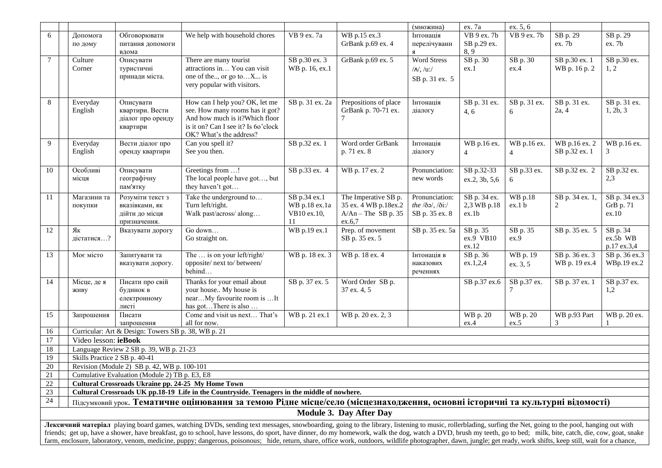|                 |                               |                                                                      |                                                                                                                                                                                                                                                                                                                                                                                                                                |                                                     |                                                                                 | (множина)                                                                                                           | ex. 7a                               | ex. 5, 6             |                                   |                                     |
|-----------------|-------------------------------|----------------------------------------------------------------------|--------------------------------------------------------------------------------------------------------------------------------------------------------------------------------------------------------------------------------------------------------------------------------------------------------------------------------------------------------------------------------------------------------------------------------|-----------------------------------------------------|---------------------------------------------------------------------------------|---------------------------------------------------------------------------------------------------------------------|--------------------------------------|----------------------|-----------------------------------|-------------------------------------|
| 6               | Допомога<br>по дому           | Обговорювати<br>питання допомоги<br>вдома                            | We help with household chores                                                                                                                                                                                                                                                                                                                                                                                                  | VB 9 ex. 7a                                         | WB p.15 ex.3<br>GrBank p.69 ex. 4                                               | Інтонація<br>перелічуванн<br>Я                                                                                      | VB 9 ex. 7b<br>SB p.29 ex.<br>8,9    | VB 9 ex. 7b          | SB p. $29$<br>ex. 7b              | SB p. 29<br>ex. 7b                  |
| $7\phantom{.0}$ | Culture<br>Corner             | Описувати<br>туристичні<br>принади міста.                            | There are many tourist<br>attractions in You can visit<br>one of the, or go toX is<br>very popular with visitors.                                                                                                                                                                                                                                                                                                              | SB p.30 ex. 3<br>WB p. 16, ex.1                     | GrBank p.69 ex. 5                                                               | <b>Word Stress</b><br>$/N, /u$ :/<br>SB p. 31 ex. 5                                                                 | SB p. 30<br>ex.1                     | SB p. 30<br>ex.4     | SB p.30 ex. 1<br>WB p. 16 p. 2    | SB p.30 ex.<br>1, 2                 |
| 8               | Everyday<br>English           | Описувати<br>квартири. Вести<br>діалог про оренду<br>квартири        | How can I help you? OK, let me<br>see. How many rooms has it got?<br>And how much is it?Which floor<br>is it on? Can I see it? Is 6o'clock<br>OK? What's the address?                                                                                                                                                                                                                                                          | SB p. 31 ex. 2a                                     | Prepositions of place<br>GrBank p. 70-71 ex.<br>7                               | Інтонація<br>діалогу                                                                                                | SB p. 31 ex.<br>4, 6                 | SB p. 31 ex.<br>6    | SB p. 31 ex.<br>2a, 4             | SB p. 31 ex.<br>1, 2b, 3            |
| 9               | Everyday<br>English           | Вести діалог про<br>оренду квартири                                  | Can you spell it?<br>See you then.                                                                                                                                                                                                                                                                                                                                                                                             | SB p.32 ex. 1                                       | Word order GrBank<br>p. 71 ex. 8                                                | Інтонація<br>діалогу                                                                                                | WB p.16 ex.<br>$\overline{4}$        | WB p.16 ex.<br>4     | WB p.16 ex. 2<br>SB p.32 ex. 1    | WB p.16 ex.<br>3                    |
| 10              | Особливі<br>місця             | Описувати<br>географічну<br>пам'ятку                                 | Greetings from !<br>The local people have got, but<br>they haven't got                                                                                                                                                                                                                                                                                                                                                         | SB p.33 ex. 4                                       | WB p. 17 ex. 2                                                                  | Pronunciation:<br>new words                                                                                         | SB p.32-33<br>ex.2, 3b, 5,6          | SB p.33 ex.<br>6     | SB p.32 ex. 2                     | SB p.32 ex.<br>2,3                  |
| 11              | Магазини та<br>покупки        | Розуміти текст з<br>вказівками, як<br>дійти до місця<br>призначення. | Take the underground to<br>Turn left/right.<br>Walk past/across/ along                                                                                                                                                                                                                                                                                                                                                         | SB p.34 ex.1<br>WB p.18 ex.1a<br>VB10 ex.10,<br>11. | The Imperative SB p.<br>35 ex. 4 WB p.18ex.2<br>$A/An$ – The SB p. 35<br>ex.6,7 | Pronunciation:<br>the $\langle \delta \mathbf{a} \rangle$ , $\langle \delta \mathbf{i} \rangle$ .<br>SB p. 35 ex. 8 | SB p. 34 ex.<br>2,3 WB p.18<br>ex.1b | WB p.18<br>ex.1 b    | SB p. 34 ex. 1,<br>$\overline{c}$ | SB p. 34 ex.3<br>GrB p. 71<br>ex.10 |
| 12              | Як<br>дістатися?              | Вказувати дорогу                                                     | Go down<br>Go straight on.                                                                                                                                                                                                                                                                                                                                                                                                     | WB p.19 ex.1                                        | Prep. of movement<br>SB p. 35 ex. 5                                             | SB p. 35 ex. 5a                                                                                                     | SB p. 35<br>ex.9 VB10<br>ex.12       | SB p. 35<br>ex.9     | SB p. 35 ex. 5                    | SB p. 34<br>ex.5b WB<br>p.17 ex.3,4 |
| 13              | Моє місто                     | Запитувати та<br>вказувати дорогу.                                   | The  is on your left/right/<br>opposite/next to/between/<br>behind                                                                                                                                                                                                                                                                                                                                                             | WB p. 18 ex. 3                                      | WB p. 18 ex. 4                                                                  | Інтонація в<br>наказових<br>реченнях                                                                                | SB p. 36<br>ex.1,2,4                 | WB p. 19<br>ex. 3, 5 | SB p. 36 ex. 3<br>WB p. 19 ex.4   | SB p. 36 ex.3<br>WBp.19 ex.2        |
| 14              | Місце, де я<br>живу           | Писати про свій<br>будинок в<br>електронному<br>листі                | Thanks for your email about<br>your house My house is<br>nearMy favourite room is It<br>has gotThere is also                                                                                                                                                                                                                                                                                                                   | SB p. 37 ex. 5                                      | Word Order SB p.<br>37 ex. 4, 5                                                 |                                                                                                                     | SB p.37 ex.6                         | SB p.37 ex.          | SB p. 37 ex. 1                    | SB p.37 ex.<br>1,2                  |
| 15              | Запрошення                    | Писати<br>запрошення                                                 | Come and visit us next That's<br>all for now.                                                                                                                                                                                                                                                                                                                                                                                  | WB p. 21 ex.1                                       | WB p. 20 ex. 2, 3                                                               |                                                                                                                     | WB p. 20<br>ex.4                     | WB p. 20<br>ex.5     | WB p.93 Part<br>3                 | WB p. 20 ex.                        |
| 16              |                               | Curricular: Art & Design: Towers SB p. 38, WB p. 21                  |                                                                                                                                                                                                                                                                                                                                                                                                                                |                                                     |                                                                                 |                                                                                                                     |                                      |                      |                                   |                                     |
| 17              | Video lesson: ieBook          |                                                                      |                                                                                                                                                                                                                                                                                                                                                                                                                                |                                                     |                                                                                 |                                                                                                                     |                                      |                      |                                   |                                     |
| 18              |                               | Language Review 2 SB p. 39, WB p. 21-23                              |                                                                                                                                                                                                                                                                                                                                                                                                                                |                                                     |                                                                                 |                                                                                                                     |                                      |                      |                                   |                                     |
| 19<br>20        | Skills Practice 2 SB p. 40-41 | Revision (Module 2) SB p. 42, WB p. 100-101                          |                                                                                                                                                                                                                                                                                                                                                                                                                                |                                                     |                                                                                 |                                                                                                                     |                                      |                      |                                   |                                     |
| $21\,$          |                               | Cumulative Evaluation (Module 2) TB p. E3, E8                        |                                                                                                                                                                                                                                                                                                                                                                                                                                |                                                     |                                                                                 |                                                                                                                     |                                      |                      |                                   |                                     |
| $22\,$          |                               | Cultural Crossroads Ukraine pp. 24-25 My Home Town                   |                                                                                                                                                                                                                                                                                                                                                                                                                                |                                                     |                                                                                 |                                                                                                                     |                                      |                      |                                   |                                     |
| 23              |                               |                                                                      | Cultural Crossroads UK pp.18-19 Life in the Countryside. Teenagers in the middle of nowhere.                                                                                                                                                                                                                                                                                                                                   |                                                     |                                                                                 |                                                                                                                     |                                      |                      |                                   |                                     |
| 24              |                               |                                                                      | Підсумковий урок. Тематичне оцінювання за темою Рідне місце/село (місцезнаходження, основні історичні та культурні відомості)                                                                                                                                                                                                                                                                                                  |                                                     | <b>Module 3. Day After Day</b>                                                  |                                                                                                                     |                                      |                      |                                   |                                     |
|                 |                               |                                                                      |                                                                                                                                                                                                                                                                                                                                                                                                                                |                                                     |                                                                                 |                                                                                                                     |                                      |                      |                                   |                                     |
|                 |                               |                                                                      | Лексичний матеріал playing board games, watching DVDs, sending text messages, snowboarding, going to the library, listening to music, rollerblading, surfing the Net, going to the pool, hanging out with<br>friends; get up, have a shower, have breakfast, go to school, have lessons, do sport, have dinner, do my homework, walk the dog, watch a DVD, brush my teeth, go to bed; milk, bite, catch, die, cow, goat, snake |                                                     |                                                                                 |                                                                                                                     |                                      |                      |                                   |                                     |
|                 |                               |                                                                      | farm, enclosure, laboratory, venom, medicine, puppy; dangerous, poisonous; hide, return, share, office work, outdoors, wildlife photographer, dawn, jungle; get ready, work shifts, keep still, wait for a chance,                                                                                                                                                                                                             |                                                     |                                                                                 |                                                                                                                     |                                      |                      |                                   |                                     |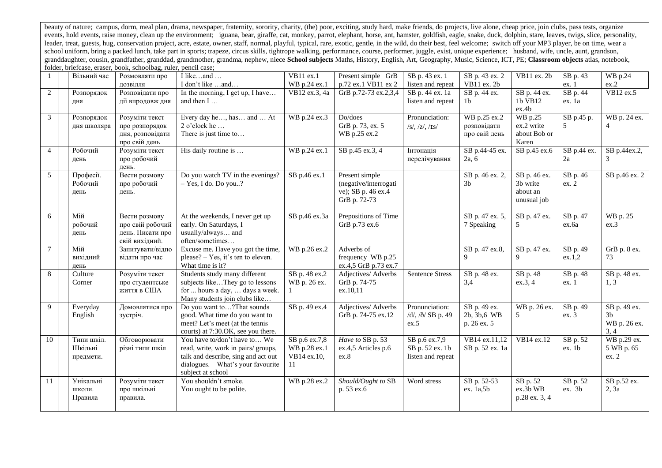beauty of nature; campus, dorm, meal plan, drama, newspaper, fraternity, sorority, charity, (the) poor, exciting, study hard, make friends, do projects, live alone, cheap price, join clubs, pass tests, organize events, hold events, raise money, clean up the environment; iguana, bear, giraffe, cat, monkey, parrot, elephant, horse, ant, hamster, goldfish, eagle, snake, duck, dolphin, stare, leaves, twigs, slice, personality, leader, treat, guests, hug, conservation project, acre, estate, owner, staff, normal, playful, typical, rare, exotic, gentle, in the wild, do their best, feel welcome; switch off your MP3 player, be on time, wear a school uniform, bring a packed lunch, take part in sports; trapeze, circus skills, tightrope walking, performance, course, performer, juggle, exist, unique experience; husband, wife, uncle, aunt, grandson, granddaughter, cousin, grandfather, granddad, grandmother, grandma, nephew, niece School subjects Maths, History, English, Art, Geography, Music, Science, ICT, PE; Classroom objects atlas, notebook, folder, briefcase, eraser, book, schoolbag, ruler, pencil case;

|                | Вільний час                        | Розмовляти про<br>дозвілля                                              | I likeand<br>I don't like and                                                                                                                                      | VB11 ex.1<br>WB p.24 ex.1                          | Present simple GrB<br>p.72 ex.1 VB11 ex 2                                     | SB p. 43 ex. 1<br>listen and repeat                   | SB p. 43 ex. 2<br>VB11 ex. 2b                | VB11 ex. 2b                                           | SB p. 43<br>ex. 1  | WB p.24<br>ex.2                                        |
|----------------|------------------------------------|-------------------------------------------------------------------------|--------------------------------------------------------------------------------------------------------------------------------------------------------------------|----------------------------------------------------|-------------------------------------------------------------------------------|-------------------------------------------------------|----------------------------------------------|-------------------------------------------------------|--------------------|--------------------------------------------------------|
| 2              | Розпорядок<br>ДНЯ                  | Розповідати про<br>дії впродовж дня                                     | In the morning, I get up, I have<br>and then I                                                                                                                     | VB12 ex.3, 4a                                      | GrB p.72-73 ex.2,3,4                                                          | SB p. 44 ex. 1a<br>listen and repeat                  | SB p. 44 ex.<br>1b                           | SB p. 44 ex.<br>1b VB12<br>ex.4b                      | SB p. 44<br>ex. 1a | VB12 ex.5                                              |
| 3              | Розпорядок<br>дня школяра          | Розуміти текст<br>про розпорядок<br>дня, розповідати<br>про свій день   | Every day he, has and  At<br>2 o'clock he<br>There is just time to                                                                                                 | WB p.24 ex.3                                       | Do/does<br>GrB p. 73, ex. 5<br>WB p.25 ex.2                                   | Pronunciation:<br>$/s/$ , $/z/$ , $/IS/$              | WB p.25 ex.2<br>розповідати<br>про свій день | <b>WB</b> p.25<br>ex.2 write<br>about Bob or<br>Karen | SB p.45 p.         | WB p. 24 ex.                                           |
| $\overline{4}$ | Робочий<br>день                    | Розуміти текст<br>про робочий<br>день.                                  | His daily routine is                                                                                                                                               | WB p.24 ex.1                                       | SB p.45 ex.3, 4                                                               | Інтонація<br>перелічування                            | SB p.44-45 ex.<br>2a, 6                      | SB p.45 ex.6                                          | SB p.44 ex.<br>2a  | SB p.44ex.2,<br>$\mathcal{R}$                          |
| 5              | Професії.<br>Робочий<br>день       | Вести розмову<br>про робочий<br>день.                                   | Do you watch TV in the evenings?<br>$-$ Yes, I do. Do you?                                                                                                         | SB p.46 ex.1                                       | Present simple<br>(negative/interrogati<br>ve); SB p. 46 ex.4<br>GrB p. 72-73 |                                                       | SB p. 46 ex. 2,<br>3 <sub>b</sub>            | SB p. 46 ex.<br>3b write<br>about an<br>unusual job   | SB p. 46<br>ex.2   | SB p.46 ex. 2                                          |
| 6              | Мій<br>робочий<br>день             | Вести розмову<br>про свій робочий<br>день. Писати про<br>свій вихідний. | At the weekends, I never get up<br>early. On Saturdays, I<br>usually/always and<br>often/sometimes                                                                 | SB p.46 ex.3a                                      | Prepositions of Time<br>GrB p.73 ex.6                                         |                                                       | SB p. 47 ex. 5,<br>7 Speaking                | SB p. 47 ex.<br>5                                     | SB p. 47<br>ex.6a  | WB p. 25<br>ex.3                                       |
| 7              | Мій<br>вихідний<br>день            | Запитувати/відпо<br>відати про час                                      | Excuse me. Have you got the time,<br>please? – Yes, it's ten to eleven.<br>What time is it?                                                                        | WB p.26 ex.2                                       | Adverbs of<br>frequency WB p.25<br>ex.4,5 GrB p.73 ex.7                       |                                                       | SB p. 47 ex.8,<br>9                          | SB p. 47 ex.<br>9                                     | SB p. 49<br>ex.1,2 | GrB p. 8 ex.<br>73                                     |
| 8              | Culture<br>Corner                  | Розуміти текст<br>про студентське<br>життя в США                        | Students study many different<br>subjects likeThey go to lessons<br>for  hours a day,  days a week.<br>Many students join clubs like                               | SB p. 48 ex.2<br>WB p. 26 ex.                      | Adjectives/ Adverbs<br>GrB p. 74-75<br>ex.10.11                               | <b>Sentence Stress</b>                                | SB p. 48 ex.<br>3,4                          | SB p. 48<br>ex.3, 4                                   | SB p. 48<br>ex. 1  | SB p. 48 ex.<br>1, 3                                   |
| 9              | Everyday<br>English                | Домовлятися про<br>зустріч.                                             | Do you want to? That sounds<br>good. What time do you want to<br>meet? Let's meet (at the tennis<br>courts) at 7:30.OK, see you there.                             | SB p. 49 ex.4                                      | Adjectives/ Adverbs<br>GrB p. 74-75 ex.12                                     | Pronunciation:<br>/d/, /ð/ SB p. 49<br>ex.5           | SB p. 49 ex.<br>2b, 3b, 6 WB<br>p. 26 ex. 5  | WB p. 26 ex.<br>5                                     | SB p. 49<br>ex. 3  | SB p. 49 ex.<br>3 <sub>b</sub><br>WB p. 26 ex.<br>3, 4 |
| 10             | Типи шкіл.<br>Шкільні<br>предмети. | Обговорювати<br>різні типи шкіл                                         | You have to/don't have to We<br>read, write, work in pairs/groups,<br>talk and describe, sing and act out<br>dialogues. What's your favourite<br>subject at school | SB p.6 ex.7,8<br>WB p.28 ex.1<br>VB14 ex.10,<br>11 | Have to SB p. 53<br>ex.4,5 Articles p.6<br>ex.8                               | SB p.6 ex.7,9<br>SB p. 52 ex. 1b<br>listen and repeat | VB14 ex.11,12<br>SB p. 52 ex. 1a             | $\overline{VB}14$ ex.12                               | SB p. 52<br>ex.1b  | WB p.29 ex.<br>5 WB p. 65<br>ex. 2                     |
| 11             | Унікальні<br>школи.<br>Правила     | Розуміти текст<br>про шкільні<br>правила.                               | You shouldn't smoke.<br>You ought to be polite.                                                                                                                    | WB p.28 ex.2                                       | Should/Ought to SB<br>p. 53 ex.6                                              | Word stress                                           | SB p. 52-53<br>ex. 1a,5b                     | SB p. 52<br>ex.3b WB<br>p.28 ex. 3, 4                 | SB p. 52<br>ex. 3b | SB p.52 ex.<br>2, 3a                                   |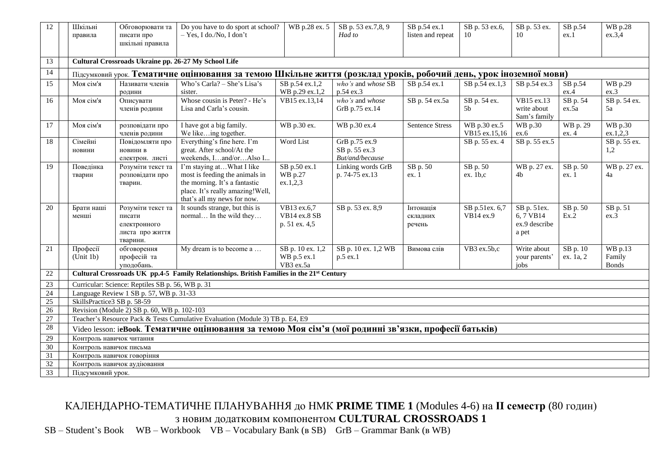| 12               | Do you have to do sport at school?<br>Шкільні<br>Обговорювати та<br>$-$ Yes, I do./No, I don't |                                                  |                                                                                                                   | WB p.28 ex. 5           | SB p. 53 ex.7,8, 9                  | SB p.54 ex.1           | SB p. 53 ex.6,       | SB p. 53 ex.              | SB p.54           | WB p.28            |
|------------------|------------------------------------------------------------------------------------------------|--------------------------------------------------|-------------------------------------------------------------------------------------------------------------------|-------------------------|-------------------------------------|------------------------|----------------------|---------------------------|-------------------|--------------------|
|                  | правила                                                                                        | писати про                                       |                                                                                                                   |                         | Had to                              | listen and repeat      | 10                   | 10                        | ex.1              | ex.3,4             |
|                  |                                                                                                | шкільні правила                                  |                                                                                                                   |                         |                                     |                        |                      |                           |                   |                    |
|                  |                                                                                                |                                                  |                                                                                                                   |                         |                                     |                        |                      |                           |                   |                    |
| 13               |                                                                                                |                                                  | Cultural Crossroads Ukraine pp. 26-27 My School Life                                                              |                         |                                     |                        |                      |                           |                   |                    |
| 14               |                                                                                                |                                                  | Підсумковий урок. Тематичне оцінювання за темою Шкільне життя (розклад уроків, робочий день, урок іноземної мови) |                         |                                     |                        |                      |                           |                   |                    |
| 15               | Моя сім'я                                                                                      | Називати членів                                  | Who's Carla? - She's Lisa's                                                                                       | SB p.54 ex.1,2          | who's and whose SB                  | SB p.54 ex.1           | SB p.54 ex.1,3       | SB p.54 ex.3              | SB p.54           | WB p.29            |
|                  |                                                                                                | родини                                           | sister.                                                                                                           | WB p.29 ex.1,2          | p.54 ex.3                           |                        |                      |                           | ex.4              | ex.3               |
| 16               | Моя сім'я                                                                                      | Описувати<br>членів родини                       | Whose cousin is Peter? - He's<br>Lisa and Carla's cousin.                                                         | VB15 ex.13,14           | who's and whose<br>GrB p.75 ex.14   | SB p. 54 ex.5a         | SB p. 54 ex.<br>5b   | VB15 ex.13<br>write about | SB p. 54<br>ex.5a | SB p. 54 ex.<br>5a |
|                  |                                                                                                |                                                  |                                                                                                                   |                         |                                     |                        |                      | Sam's family              |                   |                    |
| 17               | Моя сім'я                                                                                      | розповідати про                                  | I have got a big family.                                                                                          | WB p.30 ex.             | WB p.30 ex.4                        | <b>Sentence Stress</b> | WB p.30 ex.5         | <b>WB</b> p.30            | WB p. 29          | WB p.30            |
|                  |                                                                                                | членів родини                                    | We likeing together.                                                                                              |                         |                                     |                        | VB15 ex.15,16        | ex.6                      | ex. 4             | ex.1,2,3           |
| 18               | Сімейні                                                                                        | Повідомляти про                                  | Everything's fine here. I'm                                                                                       | Word List               | GrB p.75 ex.9                       |                        | SB p. 55 ex. 4       | SB p. 55 ex.5             |                   | SB p. 55 ex.       |
|                  | новини                                                                                         | новини в                                         | great. After school/At the                                                                                        |                         | SB p. 55 ex.3                       |                        |                      |                           |                   | 1,2                |
|                  |                                                                                                | електрон. листі                                  | weekends, Iand/orAlso I                                                                                           |                         | But/and/because                     |                        |                      |                           |                   |                    |
| 19               | Поведінка                                                                                      | Розуміти текст та<br>розповідати про             | I'm staying atWhat I like<br>most is feeding the animals in                                                       | SB p.50 ex.1<br>WB p.27 | Linking words GrB<br>p. 74-75 ex.13 | SB p. 50<br>ex.1       | SB p. 50<br>ex. 1b.c | WB p. 27 ex.<br>4b        | SB p. 50<br>ex.1  | WB p. 27 ex.<br>4a |
|                  | тварин                                                                                         | тварин.                                          | the morning. It's a fantastic                                                                                     | ex.1,2,3                |                                     |                        |                      |                           |                   |                    |
|                  |                                                                                                |                                                  | place. It's really amazing! Well,                                                                                 |                         |                                     |                        |                      |                           |                   |                    |
|                  |                                                                                                |                                                  | that's all my news for now.                                                                                       |                         |                                     |                        |                      |                           |                   |                    |
| 20               | Брати наші                                                                                     | Розуміти текст та                                | It sounds strange, but this is                                                                                    | VB13 ex.6,7             | SB p. 53 ex. 8,9                    | Інтонація              | SB p.51ex. 6,7       | SB p. 51ex.               | SB p. 50          | SB p. 51           |
|                  | менші                                                                                          | писати                                           | normal In the wild they                                                                                           | VB14 ex.8 SB            |                                     | складних               | VB14 ex.9            | 6,7 VB14                  | Ex.2              | ex.3               |
|                  |                                                                                                | електронного                                     |                                                                                                                   | p. 51 ex. 4,5           |                                     | речень                 |                      | ex.9 describe             |                   |                    |
|                  |                                                                                                | листа про життя<br>тварини.                      |                                                                                                                   |                         |                                     |                        |                      | a pet                     |                   |                    |
| 21               | Професії                                                                                       | обговорення                                      | My dream is to become a                                                                                           | SB p. 10 ex. 1,2        | SB p. 10 ex. 1,2 WB                 | Вимова слів            | VB3 ex.5b,c          | Write about               | SB p. 10          | WB p.13            |
|                  | (Unit 1b)                                                                                      | професій та                                      |                                                                                                                   | WB p.5 ex.1             | p.5 ex.1                            |                        |                      | your parents'             | ex. 1a, 2         | Family             |
|                  |                                                                                                | уподобань.                                       |                                                                                                                   | VB3 ex.5a               |                                     |                        |                      | iobs                      |                   | <b>Bonds</b>       |
| 22               |                                                                                                |                                                  | Cultural Crossroads UK pp.4-5 Family Relationships. British Families in the 21st Century                          |                         |                                     |                        |                      |                           |                   |                    |
| 23               |                                                                                                | Curricular: Science: Reptiles SB p. 56, WB p. 31 |                                                                                                                   |                         |                                     |                        |                      |                           |                   |                    |
| 24               |                                                                                                | Language Review 1 SB p. 57, WB p. 31-33          |                                                                                                                   |                         |                                     |                        |                      |                           |                   |                    |
| 25               | SkillsPractice3 SB p. 58-59                                                                    |                                                  |                                                                                                                   |                         |                                     |                        |                      |                           |                   |                    |
| 26               |                                                                                                | Revision (Module 2) SB p. 60, WB p. 102-103      |                                                                                                                   |                         |                                     |                        |                      |                           |                   |                    |
| $27\,$<br>$28\,$ |                                                                                                |                                                  | Teacher's Resource Pack & Tests Cumulative Evaluation (Module 3) TB p. E4, E9                                     |                         |                                     |                        |                      |                           |                   |                    |
|                  |                                                                                                |                                                  | Video lesson: ieBook. Тематичне оцінювання за темою Моя сім'я (мої родинні зв'язки, професії батьків)             |                         |                                     |                        |                      |                           |                   |                    |
| 29<br>30         | Контроль навичок читання                                                                       |                                                  |                                                                                                                   |                         |                                     |                        |                      |                           |                   |                    |
| 31               | Контроль навичок письма                                                                        | Контроль навичок говоріння                       |                                                                                                                   |                         |                                     |                        |                      |                           |                   |                    |
| 32               |                                                                                                | Контроль навичок аудіювання                      |                                                                                                                   |                         |                                     |                        |                      |                           |                   |                    |
| 33               | Підсумковий урок.                                                                              |                                                  |                                                                                                                   |                         |                                     |                        |                      |                           |                   |                    |
|                  |                                                                                                |                                                  |                                                                                                                   |                         |                                     |                        |                      |                           |                   |                    |

## КАЛЕНДАРНО-ТЕМАТИЧНЕ ПЛАНУВАННЯ до НМК **PRIME TIME 1** (Modules 4-6) на **ІI семестр** (80 годин)

з новим додатковим компонентом **CULTURAL CROSSROADS 1**

SB – Student's Book WB – Workbook VB – Vocabulary Bank (в SB) GrB – Grammar Bank (в WB)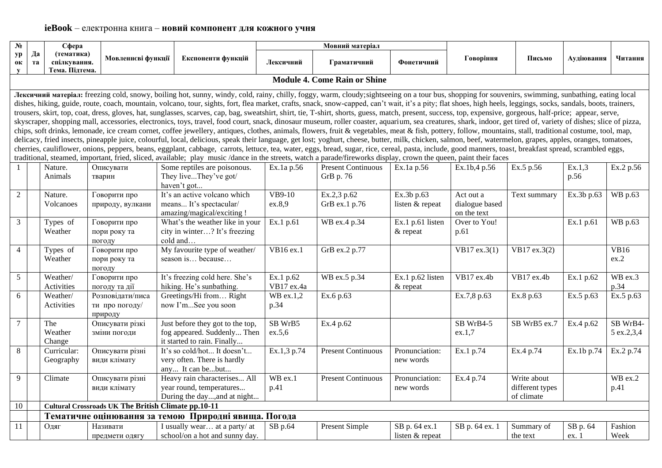| $N_2$                 |          | Сфера                                        |                                                            |                                                                                                                                                                                                                                                                                                                                                                                                                                                                                                                                                                                                                                                                                                                                                                                                                                                                                                                                                                                                                                                                                                                                                                                                                                                                                                                                                                                                                                                                                                                                                                                                                                                                          | Мовний матеріал         |                                        |                                  |                                            |                                              |                   |                               |
|-----------------------|----------|----------------------------------------------|------------------------------------------------------------|--------------------------------------------------------------------------------------------------------------------------------------------------------------------------------------------------------------------------------------------------------------------------------------------------------------------------------------------------------------------------------------------------------------------------------------------------------------------------------------------------------------------------------------------------------------------------------------------------------------------------------------------------------------------------------------------------------------------------------------------------------------------------------------------------------------------------------------------------------------------------------------------------------------------------------------------------------------------------------------------------------------------------------------------------------------------------------------------------------------------------------------------------------------------------------------------------------------------------------------------------------------------------------------------------------------------------------------------------------------------------------------------------------------------------------------------------------------------------------------------------------------------------------------------------------------------------------------------------------------------------------------------------------------------------|-------------------------|----------------------------------------|----------------------------------|--------------------------------------------|----------------------------------------------|-------------------|-------------------------------|
| yp<br>0К<br>${\bf y}$ | Да<br>та | (тематика)<br>спілкування.<br>Тема. Підтема. | Мовленнєві функції                                         | Експоненти функцій                                                                                                                                                                                                                                                                                                                                                                                                                                                                                                                                                                                                                                                                                                                                                                                                                                                                                                                                                                                                                                                                                                                                                                                                                                                                                                                                                                                                                                                                                                                                                                                                                                                       | Лексичний               | Граматичний                            | Фонетичний                       | Говоріння                                  | Письмо                                       | Аудіювання        | Читання                       |
|                       |          |                                              |                                                            |                                                                                                                                                                                                                                                                                                                                                                                                                                                                                                                                                                                                                                                                                                                                                                                                                                                                                                                                                                                                                                                                                                                                                                                                                                                                                                                                                                                                                                                                                                                                                                                                                                                                          |                         | <b>Module 4. Come Rain or Shine</b>    |                                  |                                            |                                              |                   |                               |
|                       |          |                                              |                                                            | Лексичний матеріал: freezing cold, snowy, boiling hot, sunny, windy, cold, rainy, chilly, foggy, warm, cloudy;sightseeing on a tour bus, shopping for souvenirs, swimming, sunbathing, eating local<br>dishes, hiking, guide, route, coach, mountain, volcano, tour, sights, fort, flea market, crafts, snack, snow-capped, can't wait, it's a pity; flat shoes, high heels, leggings, socks, sandals, boots, trainers,<br>trousers, skirt, top, coat, dress, gloves, hat, sunglasses, scarves, cap, bag, sweatshirt, shirt, tie, T-shirt, shorts, guess, match, present, success, top, expensive, gorgeous, half-price; appear, serve,<br>skyscraper, shopping mall, accessories, electronics, toys, travel, food court, snack, dinosaur museum, roller coaster, aquarium, sea creatures, shark, indoor, get tired of, variety of dishes; slice of pizza,<br>chips, soft drinks, lemonade, ice cream cornet, coffee jewellery, antiques, clothes, animals, flowers, fruit & vegetables, meat & fish, pottery, follow, mountains, stall, traditional costume, tool, map,<br>delicacy, fried insects, pineapple juice, colourful, local, delicious, speak their language, get lost; yoghurt, cheese, butter, milk, chicken, salmon, beef, watermelon, grapes, apples, oranges, tomatoes,<br>cherries, cauliflower, onions, peppers, beans, eggplant, cabbage, carrots, lettuce, tea, water, eggs, bread, sugar, rice, cereal, pasta, include, good manners, toast, breakfast spread, scrambled eggs,<br>traditional, steamed, important, fried, sliced, available; play music /dance in the streets, watch a parade/fireworks display, crown the queen, paint their faces |                         |                                        |                                  |                                            |                                              |                   |                               |
| $\mathbf{1}$          |          | Nature.<br>Animals                           | Описувати<br>тварин                                        | Some reptiles are poisonous.<br>They liveThey've got/<br>haven't got                                                                                                                                                                                                                                                                                                                                                                                                                                                                                                                                                                                                                                                                                                                                                                                                                                                                                                                                                                                                                                                                                                                                                                                                                                                                                                                                                                                                                                                                                                                                                                                                     | Ex.1a p.56              | <b>Present Continuous</b><br>GrB p. 76 | Ex.1a p.56                       | Ex.1b,4 p.56                               | Ex.5 p.56                                    | Ex.1,3<br>p.56    | Ex.2 p.56                     |
| $\overline{2}$        |          | Nature.<br>Volcanoes                         | Говорити про<br>природу, вулкани                           | It's an active volcano which<br>means It's spectacular/<br>amazing/magical/exciting!                                                                                                                                                                                                                                                                                                                                                                                                                                                                                                                                                                                                                                                                                                                                                                                                                                                                                                                                                                                                                                                                                                                                                                                                                                                                                                                                                                                                                                                                                                                                                                                     | VB9-10<br>ex.8,9        | Ex.2,3 p.62<br>GrB ex.1 p.76           | Ex.3b p.63<br>listen & repeat    | Act out a<br>dialogue based<br>on the text | Text summary                                 | Ex.3b p.63        | WB p.63                       |
| 3                     |          | Types of<br>Weather                          | Говорити про<br>пори року та<br>погоду                     | What's the weather like in your<br>city in winter? It's freezing<br>cold and                                                                                                                                                                                                                                                                                                                                                                                                                                                                                                                                                                                                                                                                                                                                                                                                                                                                                                                                                                                                                                                                                                                                                                                                                                                                                                                                                                                                                                                                                                                                                                                             | Ex.1 p.61               | WB ex.4 p.34                           | Ex.1 p.61 listen<br>& repeat     | Over to You!<br>p.61                       |                                              | Ex.1 p.61         | WB p.63                       |
| $\overline{4}$        |          | Types of<br>Weather                          | Говорити про<br>пори року та<br>погоду                     | My favourite type of weather/<br>season is because                                                                                                                                                                                                                                                                                                                                                                                                                                                                                                                                                                                                                                                                                                                                                                                                                                                                                                                                                                                                                                                                                                                                                                                                                                                                                                                                                                                                                                                                                                                                                                                                                       | VB16 ex.1               | GrB ex.2 p.77                          |                                  | VB17 ex.3(1)                               | VB17 ex.3(2)                                 |                   | <b>VB16</b><br>ex.2           |
| $\mathfrak{S}$        |          | Weather/<br>Activities                       | Говорити про<br>погоду та дії                              | It's freezing cold here. She's<br>hiking. He's sunbathing.                                                                                                                                                                                                                                                                                                                                                                                                                                                                                                                                                                                                                                                                                                                                                                                                                                                                                                                                                                                                                                                                                                                                                                                                                                                                                                                                                                                                                                                                                                                                                                                                               | Ex.1 p.62<br>VB17 ex.4a | WB ex.5 p.34                           | Ex.1 p.62 listen<br>& repeat     | VB17 ex.4b                                 | VB17 ex.4b                                   | Ex.1 p.62         | WB ex.3<br>p.34               |
| 6                     |          | Weather/<br>Activities                       | Розповідати/писа<br>ти про погоду/<br>природу              | Greetings/Hi from Right<br>now I'mSee you soon                                                                                                                                                                                                                                                                                                                                                                                                                                                                                                                                                                                                                                                                                                                                                                                                                                                                                                                                                                                                                                                                                                                                                                                                                                                                                                                                                                                                                                                                                                                                                                                                                           | WB ex.1,2<br>p.34       | Ex.6 p.63                              |                                  | Ex.7,8 p.63                                | Ex.8 p.63                                    | Ex.5 p.63         | Ex.5 p.63                     |
| $\tau$                |          | The<br>Weather<br>Change                     | Описувати різкі<br>зміни погоди                            | Just before they got to the top,<br>fog appeared. Suddenly Then<br>it started to rain. Finally                                                                                                                                                                                                                                                                                                                                                                                                                                                                                                                                                                                                                                                                                                                                                                                                                                                                                                                                                                                                                                                                                                                                                                                                                                                                                                                                                                                                                                                                                                                                                                           | SB WrB5<br>ex.5,6       | Ex.4 p.62                              |                                  | SB WrB4-5<br>ex.1,7                        | SB WrB5 ex.7                                 | Ex.4 p.62         | SB WrB4-<br>5 ex.2,3,4        |
| 8                     |          | Curricular:<br>Geography                     | Описувати різні<br>види клімату                            | It's so cold/hot It doesn't<br>very often. There is hardly<br>any It can bebut                                                                                                                                                                                                                                                                                                                                                                                                                                                                                                                                                                                                                                                                                                                                                                                                                                                                                                                                                                                                                                                                                                                                                                                                                                                                                                                                                                                                                                                                                                                                                                                           | Ex.1,3 p.74             | <b>Present Continuous</b>              | Pronunciation:<br>new words      | Ex.1 p.74                                  | Ex.4 p.74                                    | Ex.1b p.74        | Ex.2 p.74                     |
| 9                     |          | Climate                                      | Описувати різні<br>види клімату                            | Heavy rain characterises All<br>year round, temperatures<br>During the day, and at night                                                                                                                                                                                                                                                                                                                                                                                                                                                                                                                                                                                                                                                                                                                                                                                                                                                                                                                                                                                                                                                                                                                                                                                                                                                                                                                                                                                                                                                                                                                                                                                 | WB ex.1<br>p.41         | <b>Present Continuous</b>              | Pronunciation:<br>new words      | Ex.4 p.74                                  | Write about<br>different types<br>of climate |                   | $\overline{W}$ B ex.2<br>p.41 |
| 10                    |          |                                              | <b>Cultural Crossroads UK The British Climate pp.10-11</b> |                                                                                                                                                                                                                                                                                                                                                                                                                                                                                                                                                                                                                                                                                                                                                                                                                                                                                                                                                                                                                                                                                                                                                                                                                                                                                                                                                                                                                                                                                                                                                                                                                                                                          |                         |                                        |                                  |                                            |                                              |                   |                               |
|                       |          |                                              |                                                            | Тематичне оцінювання за темою Природні явища. Погода                                                                                                                                                                                                                                                                                                                                                                                                                                                                                                                                                                                                                                                                                                                                                                                                                                                                                                                                                                                                                                                                                                                                                                                                                                                                                                                                                                                                                                                                                                                                                                                                                     |                         |                                        |                                  |                                            |                                              |                   |                               |
| 11                    |          | Одяг                                         | Називати<br>предмети одягу                                 | I usually wear at a party/ at<br>school/on a hot and sunny day.                                                                                                                                                                                                                                                                                                                                                                                                                                                                                                                                                                                                                                                                                                                                                                                                                                                                                                                                                                                                                                                                                                                                                                                                                                                                                                                                                                                                                                                                                                                                                                                                          | SB p.64                 | Present Simple                         | SB p. 64 ex.1<br>listen & repeat | SB p. 64 ex. 1                             | Summary of<br>the text                       | SB p. 64<br>ex. 1 | Fashion<br>Week               |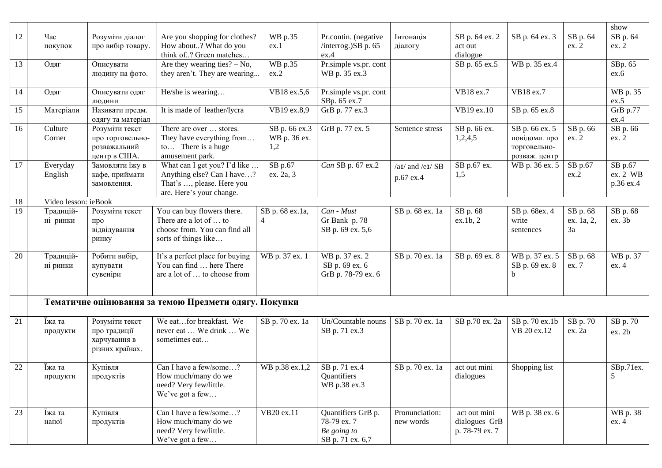|    |                      |                   |                                                       |                          |                       |                  |                |                |            | show          |
|----|----------------------|-------------------|-------------------------------------------------------|--------------------------|-----------------------|------------------|----------------|----------------|------------|---------------|
| 12 | Час                  | Розуміти діалог   | Are you shopping for clothes?                         | WB p.35                  | Pr.contin. (negative  | Інтонація        | SB p. 64 ex. 2 | SB p. 64 ex. 3 | SB p. 64   | SB p. 64      |
|    |                      | про вибір товару. | How about? What do you                                | ex.1                     | /interrog.)SB p. 65   |                  | act out        |                | ex. 2      | ex. 2         |
|    | покупок              |                   | think of? Green matches                               |                          | ex.4                  | діалогу          | dialogue       |                |            |               |
|    |                      |                   | Are they wearing ties? $-$ No,                        | WB p.35                  | Pr.simple vs.pr. cont |                  | SB p. 65 ex.5  | WB p. 35 ex.4  |            | SBp. 65       |
| 13 | Одяг                 | Описувати         |                                                       |                          |                       |                  |                |                |            |               |
|    |                      | людину на фото.   | they aren't. They are wearing                         | ex.2                     | WB p. 35 ex.3         |                  |                |                |            | ex.6          |
|    |                      |                   |                                                       |                          |                       |                  |                |                |            |               |
| 14 | Одяг                 | Описувати одяг    | He/she is wearing                                     | VB18 ex.5,6              | Pr.simple vs.pr. cont |                  | VB18 ex.7      | VB18 ex.7      |            | WB p. 35      |
|    |                      | людини            |                                                       |                          | SBp. 65 ex.7          |                  |                |                |            | ex.5          |
| 15 | Матеріали            | Називати предм.   | It is made of leather/lycra                           | $\overline{VB19}$ ex.8,9 | GrB p. 77 ex.3        |                  | VB19 ex.10     | SB p. 65 ex.8  |            | GrB p.77      |
|    |                      | одягу та матеріал |                                                       |                          |                       |                  |                |                |            | ex.4          |
| 16 | Culture              | Розуміти текст    | There are over  stores.                               | SB p. 66 ex.3            | GrB p. 77 ex. 5       | Sentence stress  | SB p. 66 ex.   | SB p. 66 ex. 5 | SB p. 66   | SB p. 66      |
|    | Corner               | про торговельно-  | They have everything from                             | WB p. 36 ex.             |                       |                  | 1,2,4,5        | повідомл. про  | ex. 2      | ex. 2         |
|    |                      | розважальний      | to There is a huge                                    | 1,2                      |                       |                  |                | торговельно-   |            |               |
|    |                      | центр в США.      | amusement park.                                       |                          |                       |                  |                | розваж. центр  |            |               |
| 17 | Everyday             | Замовляти їжу в   | What can I get you? I'd like                          | SB p.67                  | Can SB p. 67 ex.2     | /aɪ/ and /eɪ/ SB | SB p.67 ex.    | WB p. 36 ex. 5 | SB p.67    | SB p.67       |
|    | English              | кафе, приймати    | Anything else? Can I have?                            | ex. 2a, 3                |                       | p.67 ex.4        | 1,5            |                | ex.2       | ex. 2 WB      |
|    |                      | замовлення.       | That's , please. Here you                             |                          |                       |                  |                |                |            | p.36 ex.4     |
|    |                      |                   | are. Here's your change.                              |                          |                       |                  |                |                |            |               |
| 18 | Video lesson: ieBook |                   |                                                       |                          |                       |                  |                |                |            |               |
| 19 | Традицій-            | Розуміти текст    | You can buy flowers there.                            | SB p. 68 ex.1a,          | Can - Must            | SB p. 68 ex. 1a  | SB p. 68       | SB p. 68ex. 4  | SB p. 68   | SB p. 68      |
|    | ні ринки             | про               | There are a lot of  to                                | 4                        | Gr Bank p. 78         |                  | ex.1b.2        | write          | ex. 1a, 2, | ex. 3b        |
|    |                      | відвідування      | choose from. You can find all                         |                          | SB p. 69 ex. 5,6      |                  |                | sentences      | 3a         |               |
|    |                      | ринку             | sorts of things like                                  |                          |                       |                  |                |                |            |               |
|    |                      |                   |                                                       |                          |                       |                  |                |                |            |               |
| 20 | Традицій-            | Робити вибір,     | It's a perfect place for buying                       | WB p. 37 ex. 1           | WB p. 37 ex. 2        | SB p. 70 ex. 1a  | SB p. 69 ex. 8 | WB p. 37 ex. 5 | SB p. 68   | WB p. 37      |
|    | ні ринки             | купувати          | You can find  here There                              |                          | SB p. 69 ex. 6        |                  |                | SB p. 69 ex. 8 | ex. 7      | ex. 4         |
|    |                      | сувеніри          | are a lot of  to choose from                          |                          | GrB p. 78-79 ex. 6    |                  |                | b              |            |               |
|    |                      |                   |                                                       |                          |                       |                  |                |                |            |               |
|    |                      |                   |                                                       |                          |                       |                  |                |                |            |               |
|    |                      |                   | Тематичне оцінювання за темою Предмети одягу. Покупки |                          |                       |                  |                |                |            |               |
|    |                      |                   |                                                       |                          |                       |                  |                |                |            |               |
| 21 | Іжа та               | Розуміти текст    | We eatfor breakfast. We                               | SB p. 70 ex. 1a          | Un/Countable nouns    | SB p. 70 ex. 1a  | SB p.70 ex. 2a | SB p. 70 ex.1b | SB p. 70   | SB p. 70      |
|    | продукти             | про традиції      | never eat  We drink  We                               |                          | SB p. 71 ex.3         |                  |                | VB 20 ex.12    | ex. 2a     | ex. 2b        |
|    |                      | харчування в      | sometimes eat                                         |                          |                       |                  |                |                |            |               |
|    |                      | різних країнах.   |                                                       |                          |                       |                  |                |                |            |               |
|    |                      |                   |                                                       |                          |                       |                  |                |                |            |               |
| 22 | Їжа та               | Купівля           | Can I have a few/some?                                | WB p.38 ex.1,2           | SB p. 71 ex.4         | SB p. 70 ex. 1a  | act out mini   | Shopping list  |            | SBp.71ex.     |
|    | продукти             | продуктів         | How much/many do we                                   |                          | Quantifiers           |                  | dialogues      |                |            | $\mathcal{L}$ |
|    |                      |                   | need? Very few/little.                                |                          | WB p.38 ex.3          |                  |                |                |            |               |
|    |                      |                   | We've got a few                                       |                          |                       |                  |                |                |            |               |
|    |                      |                   |                                                       |                          |                       |                  |                |                |            |               |
| 23 | Їжа та               | Купівля           | Can I have a few/some?                                | VB20 ex.11               | Quantifiers GrB p.    | Pronunciation:   | act out mini   | WB p. 38 ex. 6 |            | WB p. 38      |
|    | напої                | продуктів         | How much/many do we                                   |                          | 78-79 ex. 7           | new words        | dialogues GrB  |                |            | ex. 4         |
|    |                      |                   | need? Very few/little.                                |                          | Be going to           |                  | p. 78-79 ex. 7 |                |            |               |
|    |                      |                   | We've got a few                                       |                          | SB p. 71 ex. 6,7      |                  |                |                |            |               |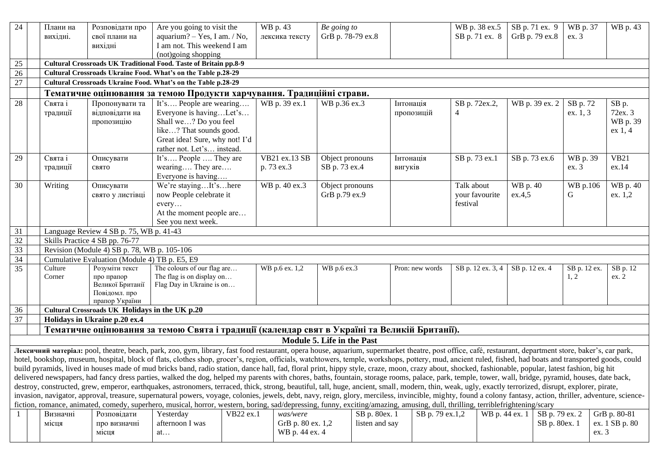| 24 |                                                                                                                                                                                                                                                                                                                                                                                                              | Плани на<br>вихідні. | Розповідати про<br>свої плани на               | Are you going to visit the<br>aquarium? $-$ Yes, I am. / No,                                                                                                                                                   | WB p. 43<br>лексика тексту          | Be going to<br>GrB p. 78-79 ex.8 |                |                 | WB p. 38 ex.5<br>SB p. 71 ex. 8 | SB p. 71 ex. 9<br>GrB p. 79 ex.8 | WB p. 37<br>ex. 3 | WB p. 43               |
|----|--------------------------------------------------------------------------------------------------------------------------------------------------------------------------------------------------------------------------------------------------------------------------------------------------------------------------------------------------------------------------------------------------------------|----------------------|------------------------------------------------|----------------------------------------------------------------------------------------------------------------------------------------------------------------------------------------------------------------|-------------------------------------|----------------------------------|----------------|-----------------|---------------------------------|----------------------------------|-------------------|------------------------|
|    |                                                                                                                                                                                                                                                                                                                                                                                                              |                      | вихідні                                        | I am not. This weekend I am                                                                                                                                                                                    |                                     |                                  |                |                 |                                 |                                  |                   |                        |
|    |                                                                                                                                                                                                                                                                                                                                                                                                              |                      |                                                | (not)going shopping                                                                                                                                                                                            |                                     |                                  |                |                 |                                 |                                  |                   |                        |
| 25 |                                                                                                                                                                                                                                                                                                                                                                                                              |                      |                                                | Cultural Crossroads UK Traditional Food. Taste of Britain pp.8-9                                                                                                                                               |                                     |                                  |                |                 |                                 |                                  |                   |                        |
| 26 |                                                                                                                                                                                                                                                                                                                                                                                                              |                      |                                                | Cultural Crossroads Ukraine Food. What's on the Table p.28-29                                                                                                                                                  |                                     |                                  |                |                 |                                 |                                  |                   |                        |
| 27 |                                                                                                                                                                                                                                                                                                                                                                                                              |                      |                                                | Cultural Crossroads Ukraine Food. What's on the Table p.28-29                                                                                                                                                  |                                     |                                  |                |                 |                                 |                                  |                   |                        |
|    |                                                                                                                                                                                                                                                                                                                                                                                                              |                      |                                                | Тематичне оцінювання за темою Продукти харчування. Традиційні страви.                                                                                                                                          |                                     |                                  |                |                 |                                 |                                  |                   |                        |
| 28 |                                                                                                                                                                                                                                                                                                                                                                                                              | Свята і              | Пропонувати та                                 | It's People are wearing                                                                                                                                                                                        | WB p. 39 ex.1                       | WB p.36 ex.3                     | Інтонація      |                 | SB p. 72ex.2,                   | WB p. 39 ex. 2                   | SB p. 72          | SB p.                  |
|    |                                                                                                                                                                                                                                                                                                                                                                                                              | традиції             | відповідати на                                 | Everyone is havingLet's<br>Shall we? Do you feel                                                                                                                                                               |                                     |                                  |                | пропозицій      | $\overline{4}$                  |                                  | ex. 1, 3          | 72ex. 3                |
|    |                                                                                                                                                                                                                                                                                                                                                                                                              |                      | пропозицію                                     |                                                                                                                                                                                                                |                                     |                                  |                |                 |                                 |                                  |                   | WB p. 39<br>ex 1, 4    |
|    |                                                                                                                                                                                                                                                                                                                                                                                                              |                      |                                                | like? That sounds good.<br>Great idea! Sure, why not! I'd                                                                                                                                                      |                                     |                                  |                |                 |                                 |                                  |                   |                        |
|    |                                                                                                                                                                                                                                                                                                                                                                                                              |                      |                                                | rather not. Let's instead.                                                                                                                                                                                     |                                     |                                  |                |                 |                                 |                                  |                   |                        |
| 29 |                                                                                                                                                                                                                                                                                                                                                                                                              | Свята і              | Описувати                                      | It's People  They are                                                                                                                                                                                          | VB21 ex.13 SB                       | Object pronouns                  | Інтонація      |                 | SB p. 73 ex.1                   | SB p. 73 ex.6                    | WB p. 39          | <b>VB21</b>            |
|    |                                                                                                                                                                                                                                                                                                                                                                                                              | традиції             | свято                                          | wearing They are                                                                                                                                                                                               | p. 73 ex.3                          | SB p. 73 ex.4                    | вигуків        |                 |                                 |                                  | ex.3              | ex.14                  |
|    |                                                                                                                                                                                                                                                                                                                                                                                                              |                      |                                                | Everyone is having                                                                                                                                                                                             |                                     |                                  |                |                 |                                 |                                  |                   |                        |
| 30 |                                                                                                                                                                                                                                                                                                                                                                                                              | Writing              | Описувати                                      | We're stayingIt'shere                                                                                                                                                                                          | WB p. 40 ex.3                       | Object pronouns                  |                |                 | Talk about                      | WB p. 40                         | WB p.106          | WB p. 40               |
|    |                                                                                                                                                                                                                                                                                                                                                                                                              |                      | свято у листівці                               | now People celebrate it                                                                                                                                                                                        |                                     | GrB p.79 ex.9                    |                |                 | your favourite                  | ex.4,5                           | G                 | ex. 1,2                |
|    |                                                                                                                                                                                                                                                                                                                                                                                                              |                      |                                                | every                                                                                                                                                                                                          |                                     |                                  |                |                 | festival                        |                                  |                   |                        |
|    |                                                                                                                                                                                                                                                                                                                                                                                                              |                      |                                                | At the moment people are                                                                                                                                                                                       |                                     |                                  |                |                 |                                 |                                  |                   |                        |
|    |                                                                                                                                                                                                                                                                                                                                                                                                              |                      |                                                | See you next week.                                                                                                                                                                                             |                                     |                                  |                |                 |                                 |                                  |                   |                        |
| 31 |                                                                                                                                                                                                                                                                                                                                                                                                              |                      | Language Review 4 SB p. 75, WB p. 41-43        |                                                                                                                                                                                                                |                                     |                                  |                |                 |                                 |                                  |                   |                        |
| 32 |                                                                                                                                                                                                                                                                                                                                                                                                              |                      | Skills Practice 4 SB pp. 76-77                 |                                                                                                                                                                                                                |                                     |                                  |                |                 |                                 |                                  |                   |                        |
| 33 |                                                                                                                                                                                                                                                                                                                                                                                                              |                      | Revision (Module 4) SB p. 78, WB p. 105-106    |                                                                                                                                                                                                                |                                     |                                  |                |                 |                                 |                                  |                   |                        |
| 34 |                                                                                                                                                                                                                                                                                                                                                                                                              |                      | Cumulative Evaluation (Module 4) TB p. E5, E9  |                                                                                                                                                                                                                |                                     |                                  |                |                 |                                 |                                  |                   |                        |
| 35 |                                                                                                                                                                                                                                                                                                                                                                                                              | Culture              | Розуміти текст                                 | The colours of our flag are                                                                                                                                                                                    | WB p.6 ex. 1,2                      | WB p.6 ex.3                      |                | Pron: new words | SB p. 12 ex. 3, 4               | SB p. 12 ex. 4                   | SB p. 12 ex.      | SB p. 12               |
|    |                                                                                                                                                                                                                                                                                                                                                                                                              | Corner               | про прапор                                     | The flag is on display on                                                                                                                                                                                      |                                     |                                  |                |                 |                                 |                                  | 1, 2              | ex. 2                  |
|    |                                                                                                                                                                                                                                                                                                                                                                                                              |                      | Великої Британії<br>Повідомл. про              | Flag Day in Ukraine is on                                                                                                                                                                                      |                                     |                                  |                |                 |                                 |                                  |                   |                        |
|    |                                                                                                                                                                                                                                                                                                                                                                                                              |                      | прапор України                                 |                                                                                                                                                                                                                |                                     |                                  |                |                 |                                 |                                  |                   |                        |
| 36 |                                                                                                                                                                                                                                                                                                                                                                                                              |                      | Cultural Crossroads UK Holidays in the UK p.20 |                                                                                                                                                                                                                |                                     |                                  |                |                 |                                 |                                  |                   |                        |
| 37 |                                                                                                                                                                                                                                                                                                                                                                                                              |                      | Holidays in Ukraine p.20 ex.4                  |                                                                                                                                                                                                                |                                     |                                  |                |                 |                                 |                                  |                   |                        |
|    |                                                                                                                                                                                                                                                                                                                                                                                                              |                      |                                                | Тематичне оцінювання за темою Свята і традиції (календар свят в Україні та Великій Британії).                                                                                                                  |                                     |                                  |                |                 |                                 |                                  |                   |                        |
|    |                                                                                                                                                                                                                                                                                                                                                                                                              |                      |                                                |                                                                                                                                                                                                                |                                     | Module 5. Life in the Past       |                |                 |                                 |                                  |                   |                        |
|    |                                                                                                                                                                                                                                                                                                                                                                                                              |                      |                                                | Лексичний матеріал: pool, theatre, beach, park, zoo, gym, library, fast food restaurant, opera house, aquarium, supermarket theatre, post office, café, restaurant, department store, baker's, car park,       |                                     |                                  |                |                 |                                 |                                  |                   |                        |
|    |                                                                                                                                                                                                                                                                                                                                                                                                              |                      |                                                | hotel, bookshop, museum, hospital, block of flats, clothes shop, grocer's, region, officials, watchtowers, temple, workshops, pottery, mud, ancient ruled, fished, had boats and transported goods, could      |                                     |                                  |                |                 |                                 |                                  |                   |                        |
|    | build pyramids, lived in houses made of mud bricks band, radio station, dance hall, fad, floral print, hippy style, craze, moon, crazy about, shocked, fashionable, popular, latest fashion, big hit<br>delivered newspapers, had fancy dress parties, walked the dog, helped my parents with chores, baths, fountain, storage rooms, palace, park, temple, tower, wall, bridge, pyramid, houses, date back, |                      |                                                |                                                                                                                                                                                                                |                                     |                                  |                |                 |                                 |                                  |                   |                        |
|    |                                                                                                                                                                                                                                                                                                                                                                                                              |                      |                                                |                                                                                                                                                                                                                |                                     |                                  |                |                 |                                 |                                  |                   |                        |
|    |                                                                                                                                                                                                                                                                                                                                                                                                              |                      |                                                | destroy, constructed, grew, emperor, earthquakes, astronomers, terraced, thick, strong, beautiful, tall, huge, ancient, small, modern, thin, weak, ugly, exactly terrorized, disrupt, explorer, pirate,        |                                     |                                  |                |                 |                                 |                                  |                   |                        |
|    |                                                                                                                                                                                                                                                                                                                                                                                                              |                      |                                                | invasion, navigator, approval, treasure, supernatural powers, voyage, colonies, jewels, debt, navy, reign, glory, merciless, invincible, mighty, found a colony fantasy, action, thriller, adventure, science- |                                     |                                  |                |                 |                                 |                                  |                   |                        |
|    |                                                                                                                                                                                                                                                                                                                                                                                                              |                      | Розповідати                                    | fiction, romance, animated, comedy, superhero, musical, horror, western, boring, sad/depressing, funny, exciting/amazing, amusing, dull, thrilling, terriblefrightening/scary<br>Yesterday<br>VB22 ex.1        | was/were                            |                                  |                |                 |                                 |                                  |                   |                        |
|    |                                                                                                                                                                                                                                                                                                                                                                                                              |                      |                                                |                                                                                                                                                                                                                |                                     |                                  |                |                 |                                 |                                  |                   |                        |
|    |                                                                                                                                                                                                                                                                                                                                                                                                              | Визначні             |                                                |                                                                                                                                                                                                                |                                     |                                  | SB p. 80ex. 1  | SB p. 79 ex.1,2 |                                 | WB p. 44 ex. 1                   | SB p. 79 ex. 2    | GrB p. 80-81           |
|    |                                                                                                                                                                                                                                                                                                                                                                                                              | місця                | про визначні<br>місця                          | afternoon I was<br>at                                                                                                                                                                                          | GrB p. 80 ex. 1,2<br>WB p. 44 ex. 4 |                                  | listen and say |                 |                                 |                                  | SB p. 80ex. 1     | ex. 1 SB p. 80<br>ex.3 |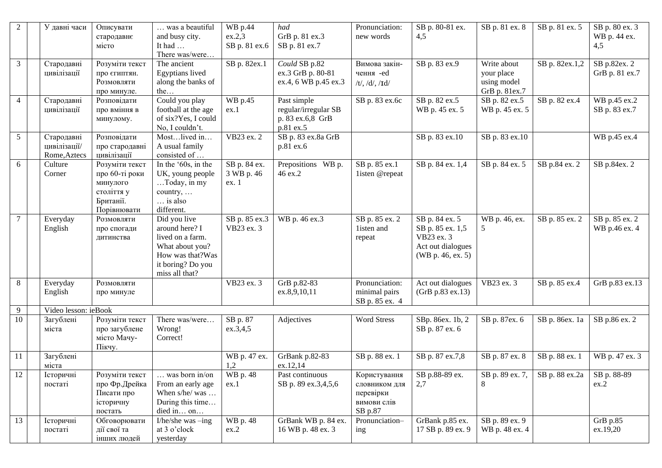| 2      | У давні часи                               | Описувати<br>стародавнє<br>місто                                                       | was a beautiful<br>and busy city.<br>It had<br>There was/were                                                                    | WB p.44<br>ex.2,3<br>SB p. 81 ex.6  | had<br>GrB p. 81 ex.3<br>SB p. 81 ex.7                               | Pronunciation:<br>new words                                          | SB p. 80-81 ex.<br>4,5                                                                     | SB p. 81 ex. 8                                            | SB p. 81 ex. 5 | SB p. 80 ex. 3<br>WB p. 44 ex.<br>4,5 |
|--------|--------------------------------------------|----------------------------------------------------------------------------------------|----------------------------------------------------------------------------------------------------------------------------------|-------------------------------------|----------------------------------------------------------------------|----------------------------------------------------------------------|--------------------------------------------------------------------------------------------|-----------------------------------------------------------|----------------|---------------------------------------|
| 3      | Стародавні<br>цивілізації                  | Розуміти текст<br>про єгиптян.<br>Розмовляти<br>про минуле.                            | The ancient<br>Egyptians lived<br>along the banks of<br>the                                                                      | SB p. 82ex.1                        | Could SB p.82<br>ex.3 GrB p. 80-81<br>ex.4, 6 WB p.45 ex.3           | Вимова закін-<br>чення -ed<br>$/t/$ , $/d/$ , $/d/$                  | SB p. 83 ex.9                                                                              | Write about<br>your place<br>using model<br>GrB p. 81ex.7 | SB p. 82ex.1,2 | SB p.82ex. 2<br>GrB p. 81 ex.7        |
| 4      | Стародавні<br>цивілізації                  | Розповідати<br>про вміння в<br>минулому.                                               | Could you play<br>football at the age<br>of six?Yes, I could<br>No, I couldn't.                                                  | WB p.45<br>ex.1                     | Past simple<br>regular/irregular SB<br>p. 83 ex.6,8 GrB<br>p.81 ex.5 | SB p. 83 ex.6c                                                       | SB p. 82 ex.5<br>WB p. 45 ex. 5                                                            | SB p. 82 ex.5<br>WB p. 45 ex. 5                           | SB p. 82 ex.4  | WB p.45 ex.2<br>SB p. 83 ex.7         |
| 5      | Стародавні<br>цивілізації/<br>Rome, Aztecs | Розповідати<br>про стародавні<br>цивілізації                                           | Mostlived in<br>A usual family<br>consisted of                                                                                   | VB23 ex. 2                          | SB p. 83 ex.8a GrB<br>p.81 ex.6                                      |                                                                      | SB p. 83 ex.10                                                                             | SB p. 83 ex.10                                            |                | WB p.45 ex.4                          |
| 6      | Culture<br>Corner                          | Розуміти текст<br>про 60-ті роки<br>минулого<br>століття у<br>Британії.<br>Порівнювати | In the '60s, in the<br>UK, young people<br>Today, in my<br>country,<br>is also<br>different.                                     | SB p. 84 ex.<br>3 WB p. 46<br>ex. 1 | Prepositions WB p.<br>46 ex.2                                        | SB p. 85 ex.1<br>listen @repeat                                      | SB p. 84 ex. 1,4                                                                           | SB p. 84 ex. 5                                            | SB p.84 ex. 2  | SB p.84ex. 2                          |
| 7      | Everyday<br>English                        | Розмовляти<br>про спогади<br>дитинства                                                 | Did you live<br>around here? I<br>lived on a farm.<br>What about you?<br>How was that?Was<br>it boring? Do you<br>miss all that? | SB p. 85 ex.3<br>VB23 ex. 3         | WB p. 46 ex.3                                                        | SB p. 85 ex. 2<br>1isten and<br>repeat                               | SB p. 84 ex. 5<br>SB p. 85 ex. 1,5<br>VB23 ex. 3<br>Act out dialogues<br>(WB p. 46, ex. 5) | WB p. 46, ex.<br>5                                        | SB p. 85 ex. 2 | SB p. 85 ex. 2<br>WB p.46 ex. 4       |
| 8      | Everyday<br>English                        | Розмовляти<br>про минуле                                                               |                                                                                                                                  | VB23 ex. 3                          | GrB p.82-83<br>ex.8,9,10,11                                          | Pronunciation:<br>minimal pairs<br>SB p. 85 ex. 4                    | Act out dialogues<br>(GrB p.83 ex.13)                                                      | VB23 ex. 3                                                | SB p. 85 ex.4  | GrB p.83 ex.13                        |
| 9      | Video lesson: ieBook                       |                                                                                        |                                                                                                                                  |                                     |                                                                      |                                                                      |                                                                                            |                                                           |                |                                       |
| 10     | Загублені<br>міста                         | Розуміти текст<br>про загублене<br>місто Мачу-<br>Пікчу.                               | There was/were<br>Wrong!<br>Correct!                                                                                             | SB p. 87<br>ex.3,4,5                | Adjectives                                                           | Word Stress                                                          | SBp. 86ex. 1b, 2<br>SB p. 87 ex. 6                                                         | SB p. 87ex. 6                                             | SB p. 86ex. 1a | SB p.86 ex. 2                         |
| 11     | Загублені<br>міста                         |                                                                                        |                                                                                                                                  | WB p. 47 ex.<br>1,2                 | GrBank p.82-83<br>ex.12,14                                           | SB p. 88 ex. 1                                                       | SB p. 87 ex.7,8                                                                            | SB p. 87 ex. 8                                            | SB p. 88 ex. 1 | WB p. 47 ex. 3                        |
| $12\,$ | Історичні<br>постаті                       | Розуміти текст<br>про Фр.Дрейка<br>Писати про<br>історичну<br>постать                  | was born in/on<br>From an early age<br>When s/he/ was<br>During this time<br>died in on                                          | <b>WB</b> p. 48<br>ex.1             | Past continuous<br>SB p. 89 ex.3,4,5,6                               | Користування<br>словником для<br>перевірки<br>вимови слів<br>SB p.87 | SB p.88-89 ex.<br>2,7                                                                      | SB p. 89 ex. 7,<br>8                                      | SB p. 88 ex.2a | SB p. 88-89<br>ex.2                   |
| 13     | Історичні<br>постаті                       | Обговорювати<br>дії свої та<br>інших людей                                             | I/he/she was $-$ ing<br>at 3 o'clock<br>yesterday                                                                                | WB p. 48<br>ex.2                    | GrBank WB p. 84 ex.<br>16 WB p. 48 ex. 3                             | Pronunciation-<br>ing                                                | GrBank p.85 ex.<br>17 SB p. 89 ex. 9                                                       | SB p. 89 ex. 9<br>WB p. 48 ex. 4                          |                | GrB p.85<br>ex.19,20                  |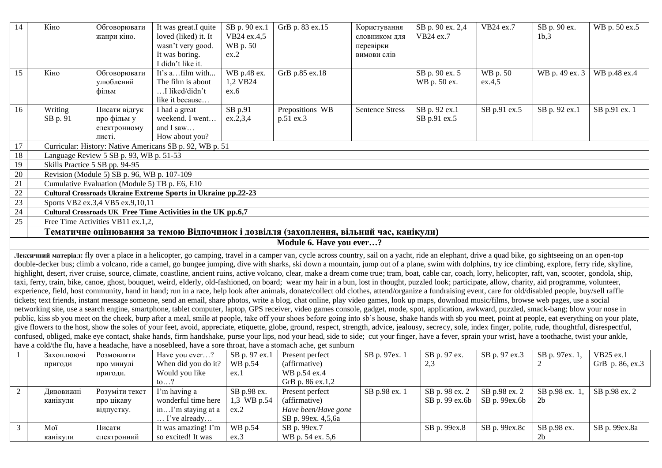| 14           | Кіно                | Обговорювати<br>жанри кіно.                            | It was great.I quite<br>loved (liked) it. It<br>wasn't very good.<br>It was boring.<br>I didn't like it. | SB p. 90 ex.1<br>VB24 ex.4,5<br>WB p. 50<br>ex.2 | GrB p. 83 ex.15                                                                                                                                                                                                                                                                                                                                                                                             | Користування<br>словником для<br>перевірки<br>вимови слів | SB p. 90 ex. 2,4<br>VB24 ex.7  | VB24 ex.7          | SB p. 90 ex.<br>1b,3 | WB p. 50 ex.5                |
|--------------|---------------------|--------------------------------------------------------|----------------------------------------------------------------------------------------------------------|--------------------------------------------------|-------------------------------------------------------------------------------------------------------------------------------------------------------------------------------------------------------------------------------------------------------------------------------------------------------------------------------------------------------------------------------------------------------------|-----------------------------------------------------------|--------------------------------|--------------------|----------------------|------------------------------|
| 15           | Кіно                | Обговорювати<br>улюблений<br>фільм                     | It's afilm with<br>The film is about<br>I liked/didn't<br>like it because                                | WB p.48 ex.<br>1,2 VB24<br>ex.6                  | GrB p.85 ex.18                                                                                                                                                                                                                                                                                                                                                                                              |                                                           | SB p. 90 ex. 5<br>WB p. 50 ex. | WB p. 50<br>ex.4,5 | WB p. 49 ex. 3       | WB p.48 ex.4                 |
| 16           | Writing<br>SB p. 91 | Писати відгук<br>про фільм у<br>електронному<br>листі. | I had a great<br>weekend. I went<br>and I saw<br>How about you?                                          | SB p.91<br>ex.2,3,4                              | Prepositions WB<br>p.51 ex.3                                                                                                                                                                                                                                                                                                                                                                                | <b>Sentence Stress</b>                                    | SB p. 92 ex.1<br>SB p.91 ex.5  | SB p.91 ex.5       | SB p. 92 ex.1        | SB p.91 ex. 1                |
| 17           |                     |                                                        | Curricular: History: Native Americans SB p. 92, WB p. 51                                                 |                                                  |                                                                                                                                                                                                                                                                                                                                                                                                             |                                                           |                                |                    |                      |                              |
| 18           |                     | Language Review 5 SB p. 93, WB p. 51-53                |                                                                                                          |                                                  |                                                                                                                                                                                                                                                                                                                                                                                                             |                                                           |                                |                    |                      |                              |
| 19           |                     | Skills Practice 5 SB pp. 94-95                         |                                                                                                          |                                                  |                                                                                                                                                                                                                                                                                                                                                                                                             |                                                           |                                |                    |                      |                              |
| 20           |                     | Revision (Module 5) SB p. 96, WB p. 107-109            |                                                                                                          |                                                  |                                                                                                                                                                                                                                                                                                                                                                                                             |                                                           |                                |                    |                      |                              |
| 21           |                     | Cumulative Evaluation (Module 5) TB p. E6, E10         |                                                                                                          |                                                  |                                                                                                                                                                                                                                                                                                                                                                                                             |                                                           |                                |                    |                      |                              |
| $22\,$<br>23 |                     | Sports VB2 ex.3,4 VB5 ex.9,10,11                       | <b>Cultural Crossroads Ukraine Extreme Sports in Ukraine pp.22-23</b>                                    |                                                  |                                                                                                                                                                                                                                                                                                                                                                                                             |                                                           |                                |                    |                      |                              |
| 24           |                     |                                                        | Cultural Crossroads UK Free Time Activities in the UK pp.6,7                                             |                                                  |                                                                                                                                                                                                                                                                                                                                                                                                             |                                                           |                                |                    |                      |                              |
| 25           |                     | Free Time Activities VB11 ex.1,2,                      |                                                                                                          |                                                  |                                                                                                                                                                                                                                                                                                                                                                                                             |                                                           |                                |                    |                      |                              |
|              |                     |                                                        |                                                                                                          |                                                  | Тематичне оцінювання за темою Відпочинок і дозвілля (захоплення, вільний час, канікули)                                                                                                                                                                                                                                                                                                                     |                                                           |                                |                    |                      |                              |
|              |                     |                                                        |                                                                                                          |                                                  | Module 6. Have you ever?                                                                                                                                                                                                                                                                                                                                                                                    |                                                           |                                |                    |                      |                              |
|              |                     |                                                        |                                                                                                          |                                                  |                                                                                                                                                                                                                                                                                                                                                                                                             |                                                           |                                |                    |                      |                              |
|              |                     |                                                        |                                                                                                          |                                                  | Лексичний матеріал: fly over a place in a helicopter, go camping, travel in a camper van, cycle across country, sail on a yacht, ride an elephant, drive a quad bike, go sightseeing on an open-top<br>double-decker bus; climb a volcano, ride a camel, go bungee jumping, dive with sharks, ski down a mountain, jump out of a plane, swim with dolphins, try ice climbing, explore, ferry ride, skyline, |                                                           |                                |                    |                      |                              |
|              |                     |                                                        |                                                                                                          |                                                  | highlight, desert, river cruise, source, climate, coastline, ancient ruins, active volcano, clear, make a dream come true; tram, boat, cable car, coach, lorry, helicopter, raft, van, scooter, gondola, ship,                                                                                                                                                                                              |                                                           |                                |                    |                      |                              |
|              |                     |                                                        |                                                                                                          |                                                  | taxi, ferry, train, bike, canoe, ghost, bouquet, weird, elderly, old-fashioned, on board; wear my hair in a bun, lost in thought, puzzled look; participate, allow, charity, aid programme, volunteer,                                                                                                                                                                                                      |                                                           |                                |                    |                      |                              |
|              |                     |                                                        |                                                                                                          |                                                  | experience, field, host community, hand in hand; run in a race, help look after animals, donate/collect old clothes, attend/organize a fundraising event, care for old/disabled people, buy/sell raffle                                                                                                                                                                                                     |                                                           |                                |                    |                      |                              |
|              |                     |                                                        |                                                                                                          |                                                  | tickets; text friends, instant message someone, send an email, share photos, write a blog, chat online, play video games, look up maps, download music/films, browse web pages, use a social                                                                                                                                                                                                                |                                                           |                                |                    |                      |                              |
|              |                     |                                                        |                                                                                                          |                                                  | networking site, use a search engine, smartphone, tablet computer, laptop, GPS receiver, video games console, gadget, mode, spot, application, awkward, puzzled, smack-bang; blow your nose in                                                                                                                                                                                                              |                                                           |                                |                    |                      |                              |
|              |                     |                                                        |                                                                                                          |                                                  | public, kiss sb you meet on the cheek, burp after a meal, smile at people, take off your shoes before going into sb's house, shake hands with sb you meet, point at people, eat everything on your plate,                                                                                                                                                                                                   |                                                           |                                |                    |                      |                              |
|              |                     |                                                        |                                                                                                          |                                                  | give flowers to the host, show the soles of your feet, avoid, appreciate, etiquette, globe, ground, respect, strength, advice, jealousy, secrecy, sole, index finger, polite, rude, thoughtful, disrespectful,                                                                                                                                                                                              |                                                           |                                |                    |                      |                              |
|              |                     |                                                        |                                                                                                          |                                                  | confused, obliged, make eye contact, shake hands, firm handshake, purse your lips, nod your head, side to side; cut your finger, have a fever, sprain your wrist, have a toothache, twist your ankle,                                                                                                                                                                                                       |                                                           |                                |                    |                      |                              |
|              | Захоплюючі          |                                                        |                                                                                                          |                                                  | have a cold/the flu, have a headache, have a nosebleed, have a sore throat, have a stomach ache, get sunburn                                                                                                                                                                                                                                                                                                |                                                           |                                |                    |                      |                              |
|              |                     | Розмовляти<br>про минулі                               | Have you ever?<br>When did you do it?                                                                    | SB p. 97 ex.1<br>WB p.54                         | Present perfect<br>(affirmative)                                                                                                                                                                                                                                                                                                                                                                            | SB p. 97ex. 1                                             | SB p. 97 ex.<br>2,3            | SB p. 97 ex.3      | SB p. 97ex. 1,<br>2  | VB25 ex.1<br>GrB p. 86, ex.3 |
|              | пригоди             | пригоди.                                               | Would you like                                                                                           | ex.1                                             | WB p.54 ex.4                                                                                                                                                                                                                                                                                                                                                                                                |                                                           |                                |                    |                      |                              |
|              |                     |                                                        | to?                                                                                                      |                                                  | GrB p. 86 ex.1,2                                                                                                                                                                                                                                                                                                                                                                                            |                                                           |                                |                    |                      |                              |
| $\sqrt{2}$   | Дивовижні           | Розуміти текст                                         | I'm having a                                                                                             | SB p.98 ex.                                      | Present perfect                                                                                                                                                                                                                                                                                                                                                                                             | SB p.98 ex. 1                                             | SB p. 98 ex. 2                 | SB p.98 ex. 2      | SB p.98 ex. 1,       | SB p.98 ex. 2                |
|              | канікули            | про цікаву                                             | wonderful time here                                                                                      | 1,3 WB p.54                                      | (affirmative)                                                                                                                                                                                                                                                                                                                                                                                               |                                                           | SB p. 99 ex.6b                 | SB p. 99ex.6b      | 2 <sub>b</sub>       |                              |
|              |                     | відпустку.                                             | inI'm staying at a                                                                                       | ex.2                                             | Have been/Have gone                                                                                                                                                                                                                                                                                                                                                                                         |                                                           |                                |                    |                      |                              |
|              |                     |                                                        | I've already                                                                                             |                                                  | SB p. 99ex. 4,5,6a                                                                                                                                                                                                                                                                                                                                                                                          |                                                           |                                |                    |                      |                              |
| 3            | Moï                 | Писати                                                 | It was amazing! I'm                                                                                      | $\overline{WB}$ p.54                             | SB p. 99ex.7                                                                                                                                                                                                                                                                                                                                                                                                |                                                           | SB p. 99ex.8                   | SB p. 99ex.8c      | SB p.98 ex.          | SB p. 99ex.8a                |
|              | канікули            | електронний                                            | so excited! It was                                                                                       | ex.3                                             | WB p. 54 ex. 5,6                                                                                                                                                                                                                                                                                                                                                                                            |                                                           |                                |                    | 2b                   |                              |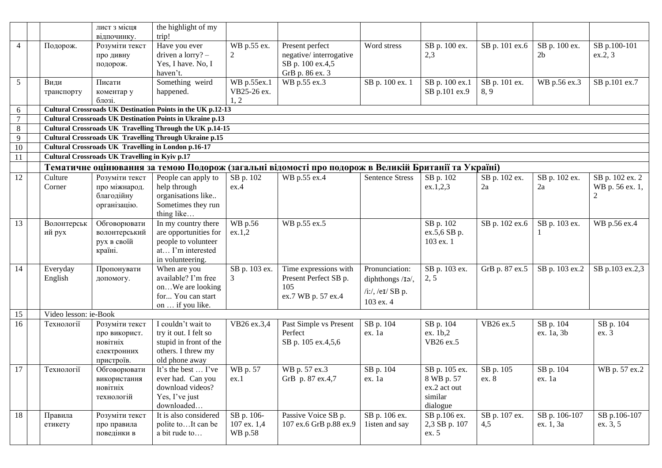|         |                       | лист з місця<br>відпочинку.                                              | the highlight of my<br>trip!                                                                                  |                                      |                                                                                                      |                                                                        |                                                                    |                       |                                 |                                                      |
|---------|-----------------------|--------------------------------------------------------------------------|---------------------------------------------------------------------------------------------------------------|--------------------------------------|------------------------------------------------------------------------------------------------------|------------------------------------------------------------------------|--------------------------------------------------------------------|-----------------------|---------------------------------|------------------------------------------------------|
| 4       | Подорож.              | Розуміти текст<br>про дивну<br>подорож.                                  | Have you ever<br>driven a $lorry? -$<br>Yes, I have. No, I<br>haven't.                                        | WB p.55 ex.<br>2                     | Present perfect<br>negative/interrogative<br>SB p. 100 ex.4,5<br>GrB p. 86 ex. 3                     | Word stress                                                            | SB p. 100 ex.<br>2,3                                               | SB p. 101 ex.6        | SB p. 100 ex.<br>2 <sub>b</sub> | SB p.100-101<br>ex.2, 3                              |
| 5       | Види<br>транспорту    | Писати<br>коментар у<br>блозі.                                           | Something weird<br>happened.                                                                                  | WB p.55ex.1<br>VB25-26 ex.<br>1, 2   | WB p.55 ex.3                                                                                         | SB p. 100 ex. 1                                                        | SB p. 100 ex.1<br>SB p.101 ex.9                                    | SB p. 101 ex.<br>8, 9 | WB p.56 ex.3                    | SB p.101 ex.7                                        |
| 6       |                       |                                                                          | Cultural Crossroads UK Destination Points in the UK p.12-13                                                   |                                      |                                                                                                      |                                                                        |                                                                    |                       |                                 |                                                      |
| $\tau$  |                       |                                                                          | <b>Cultural Crossroads UK Destination Points in Ukraine p.13</b>                                              |                                      |                                                                                                      |                                                                        |                                                                    |                       |                                 |                                                      |
| $\,8\,$ |                       |                                                                          | Cultural Crossroads UK Travelling Through the UK p.14-15                                                      |                                      |                                                                                                      |                                                                        |                                                                    |                       |                                 |                                                      |
| 9       |                       |                                                                          | <b>Cultural Crossroads UK Travelling Through Ukraine p.15</b>                                                 |                                      |                                                                                                      |                                                                        |                                                                    |                       |                                 |                                                      |
| 10      |                       |                                                                          | <b>Cultural Crossroads UK Travelling in London p.16-17</b>                                                    |                                      |                                                                                                      |                                                                        |                                                                    |                       |                                 |                                                      |
| 11      |                       | <b>Cultural Crossroads UK Travelling in Kyiv p.17</b>                    |                                                                                                               |                                      |                                                                                                      |                                                                        |                                                                    |                       |                                 |                                                      |
|         |                       |                                                                          |                                                                                                               |                                      | Тематичне оцінювання за темою Подорож (загальні відомості про подорож в Великій Британії та Україні) |                                                                        |                                                                    |                       |                                 |                                                      |
| 12      | Culture<br>Corner     | Розуміти текст<br>про міжнарод.<br>благодійну<br>організацію.            | People can apply to<br>help through<br>organisations like<br>Sometimes they run<br>thing like                 | SB p. 102<br>ex.4                    | WB p.55 ex.4                                                                                         | <b>Sentence Stress</b>                                                 | SB p. 102<br>ex.1,2,3                                              | SB p. 102 ex.<br>2a   | SB p. 102 ex.<br>2a             | SB p. 102 ex. 2<br>WB p. 56 ex. 1,<br>$\overline{2}$ |
| 13      | Волонтерськ<br>ий рух | Обговорювати<br>волонтерський<br>рух в своїй<br>країні.                  | In my country there<br>are opportunities for<br>people to volunteer<br>at I'm interested<br>in volunteering.  | WB p.56<br>ex.1,2                    | WB p.55 ex.5                                                                                         |                                                                        | SB p. 102<br>ex.5,6 SB p.<br>103 ex. 1                             | SB p. 102 ex.6        | SB p. 103 ex.                   | WB p.56 ex.4                                         |
| 14      | Everyday<br>English   | Пропонувати<br>допомогу.                                                 | When are you<br>available? I'm free<br>onWe are looking<br>for You can start<br>on  if you like.              | SB p. 103 ex.<br>3                   | Time expressions with<br>Present Perfect SB p.<br>105<br>ex.7 WB p. 57 ex.4                          | Pronunciation:<br>diphthongs /Iə/,<br>$/i$ :/, /eɪ/ SB p.<br>103 ex. 4 | SB p. 103 ex.<br>2, 5                                              | GrB p. 87 ex.5        | SB p. 103 ex.2                  | SB p.103 ex.2,3                                      |
| 15      | Video lesson: ie-Book |                                                                          |                                                                                                               |                                      |                                                                                                      |                                                                        |                                                                    |                       |                                 |                                                      |
| 16      | Технології            | Розуміти текст<br>про використ.<br>новітніх<br>електронних<br>пристроїв. | I couldn't wait to<br>try it out. I felt so<br>stupid in front of the<br>others. I threw my<br>old phone away | VB26 ex.3,4                          | Past Simple vs Present<br>Perfect<br>SB p. 105 ex.4,5,6                                              | SB p. 104<br>ex. 1a                                                    | SB p. 104<br>ex. 1b,2<br>VB26 ex.5                                 | VB26 ex.5             | SB p. 104<br>ex. 1a, 3b         | SB p. 104<br>ex. 3                                   |
| 17      | Технології            | Обговорювати<br>використання<br>новітніх<br>технологій                   | It's the best  I've<br>ever had. Can you<br>download videos?<br>Yes, I've just<br>downloaded                  | WB p. 57<br>ex.1                     | WB p. 57 ex.3<br>GrB p. 87 ex.4,7                                                                    | SB p. 104<br>ex. 1a                                                    | SB p. 105 ex.<br>8 WB p. 57<br>ex.2 act out<br>similar<br>dialogue | SB p. 105<br>ex. 8    | SB p. 104<br>ex. 1a             | WB p. 57 ex.2                                        |
| 18      | Правила<br>етикету    | Розуміти текст<br>про правила<br>поведінки в                             | It is also considered<br>polite toIt can be<br>a bit rude to                                                  | SB p. 106-<br>107 ex. 1,4<br>WB p.58 | Passive Voice SB p.<br>107 ex.6 GrB p.88 ex.9                                                        | SB p. 106 ex.<br>listen and say                                        | SB p.106 ex.<br>2,3 SB p. 107<br>ex. 5                             | SB p. 107 ex.<br>4,5  | SB p. 106-107<br>ex. 1, 3a      | SB p.106-107<br>ex. 3, 5                             |